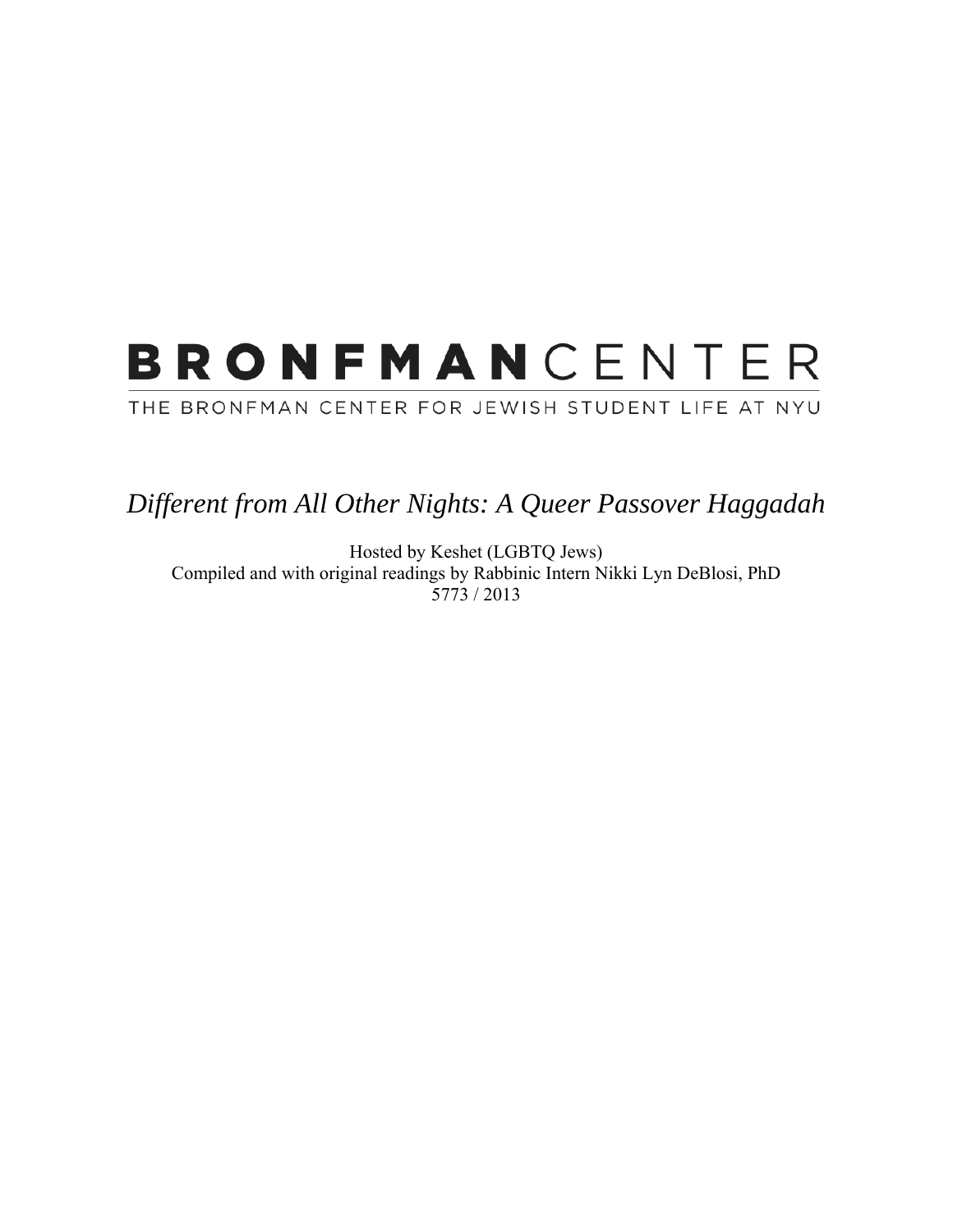# **BRONFMAN**CENTER

THE BRONFMAN CENTER FOR JEWISH STUDENT LIFE AT NYU

*Different from All Other Nights: A Queer Passover Haggadah*

Hosted by Keshet (LGBTQ Jews) Compiled and with original readings by Rabbinic Intern Nikki Lyn DeBlosi, PhD 5773 / 2013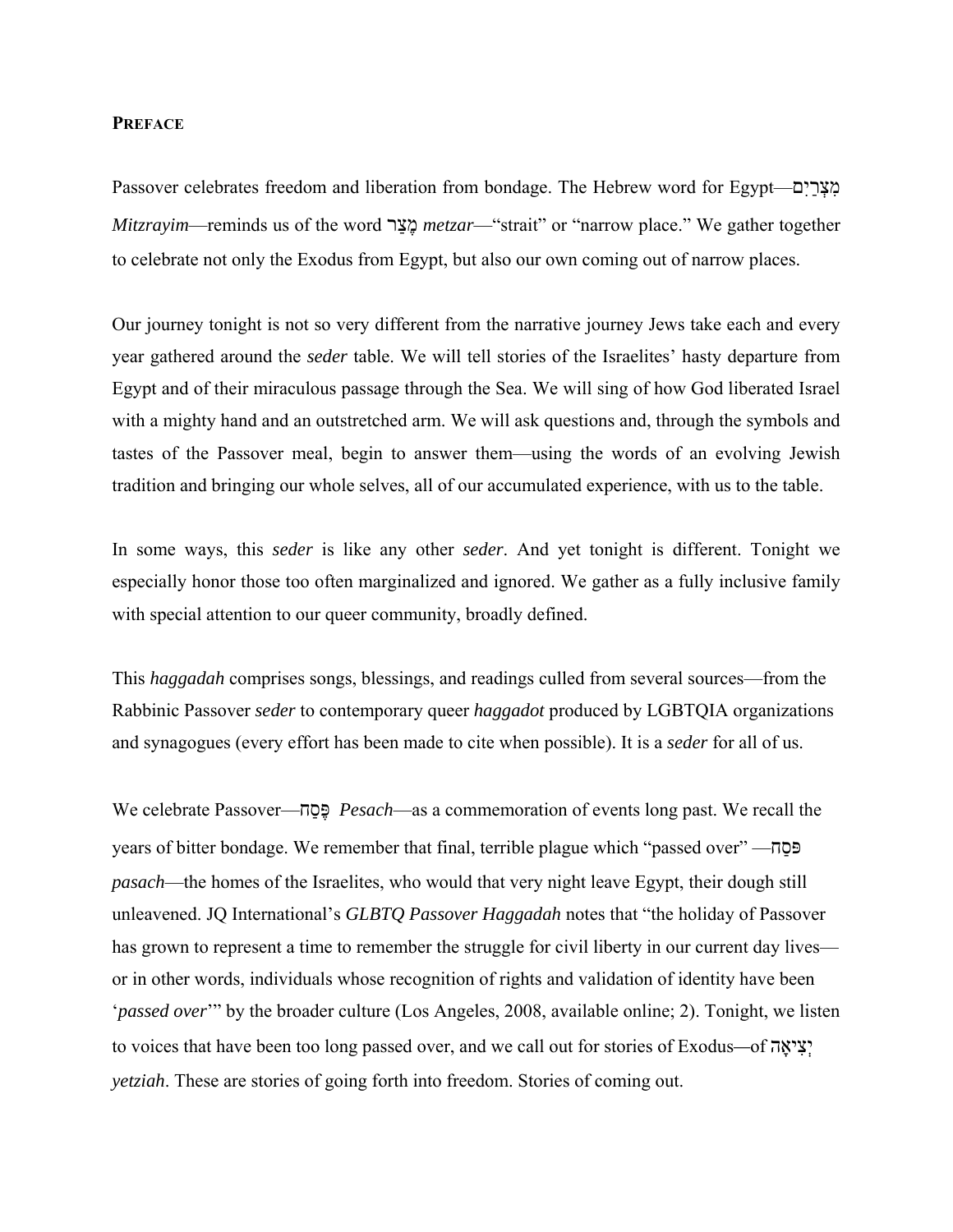#### **PREFACE**

Passover celebrates freedom and liberation from bondage. The Hebrew word for Egypt—םִיַרְצִמ *Mitzrayim*—reminds us of the word רַמצֶ *metzar*—"strait" or "narrow place." We gather together to celebrate not only the Exodus from Egypt, but also our own coming out of narrow places.

Our journey tonight is not so very different from the narrative journey Jews take each and every year gathered around the *seder* table. We will tell stories of the Israelites' hasty departure from Egypt and of their miraculous passage through the Sea. We will sing of how God liberated Israel with a mighty hand and an outstretched arm. We will ask questions and, through the symbols and tastes of the Passover meal, begin to answer them—using the words of an evolving Jewish tradition and bringing our whole selves, all of our accumulated experience, with us to the table.

In some ways, this *seder* is like any other *seder*. And yet tonight is different. Tonight we especially honor those too often marginalized and ignored. We gather as a fully inclusive family with special attention to our queer community, broadly defined.

This *haggadah* comprises songs, blessings, and readings culled from several sources—from the Rabbinic Passover *seder* to contemporary queer *haggadot* produced by LGBTQIA organizations and synagogues (every effort has been made to cite when possible). It is a *seder* for all of us.

We celebrate Passover—חַסֶפּ *Pesach*—as a commemoration of events long past. We recall the years of bitter bondage. We remember that final, terrible plague which "passed over" —חַפּס *pasach*—the homes of the Israelites, who would that very night leave Egypt, their dough still unleavened. JQ International's *GLBTQ Passover Haggadah* notes that "the holiday of Passover has grown to represent a time to remember the struggle for civil liberty in our current day lives or in other words, individuals whose recognition of rights and validation of identity have been '*passed over*'" by the broader culture (Los Angeles, 2008, available online; 2). Tonight, we listen to voices that have been too long passed over, and we call out for stories of Exodus*—*of יאָהִצְי *yetziah*. These are stories of going forth into freedom. Stories of coming out.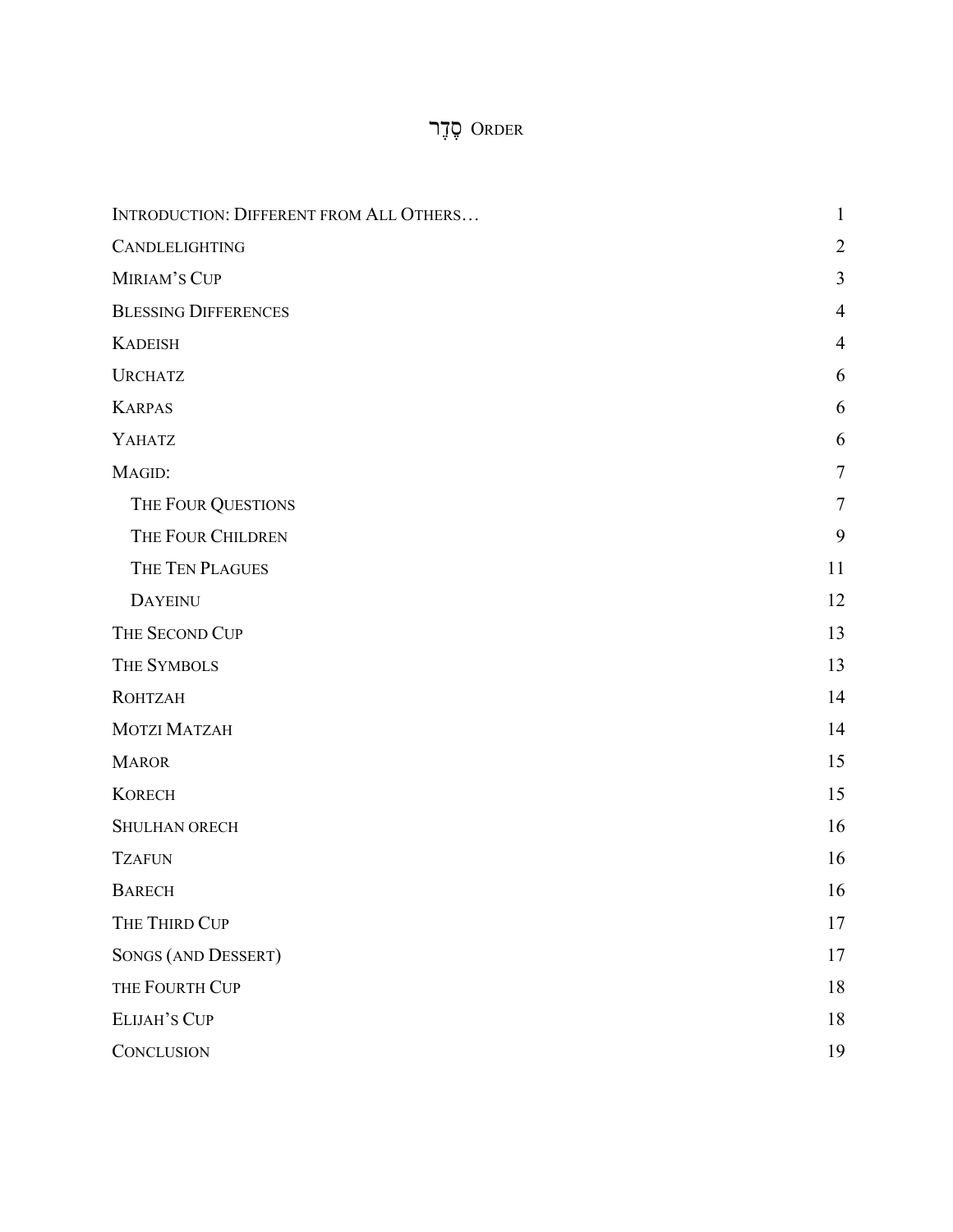# ORDER סֶדֶר

| INTRODUCTION: DIFFERENT FROM ALL OTHERS | $\mathbf{1}$   |
|-----------------------------------------|----------------|
| CANDLELIGHTING                          | $\overline{2}$ |
| MIRIAM'S CUP                            | 3              |
| <b>BLESSING DIFFERENCES</b>             | $\overline{4}$ |
| <b>KADEISH</b>                          | $\overline{4}$ |
| <b>URCHATZ</b>                          | 6              |
| <b>KARPAS</b>                           | 6              |
| YAHATZ                                  | 6              |
| MAGID:                                  | 7              |
| THE FOUR QUESTIONS                      | $\tau$         |
| THE FOUR CHILDREN                       | 9              |
| THE TEN PLAGUES                         | 11             |
| <b>DAYEINU</b>                          | 12             |
| THE SECOND CUP                          | 13             |
| THE SYMBOLS                             | 13             |
| <b>ROHTZAH</b>                          | 14             |
| <b>MOTZI MATZAH</b>                     | 14             |
| <b>MAROR</b>                            | 15             |
| <b>KORECH</b>                           | 15             |
| <b>SHULHAN ORECH</b>                    | 16             |
| <b>TZAFUN</b>                           | 16             |
| <b>BARECH</b>                           | 16             |
| THE THIRD CUP                           | 17             |
| SONGS (AND DESSERT)                     | 17             |
| THE FOURTH CUP                          | 18             |
| ELIJAH'S CUP                            | 18             |
| CONCLUSION                              | 19             |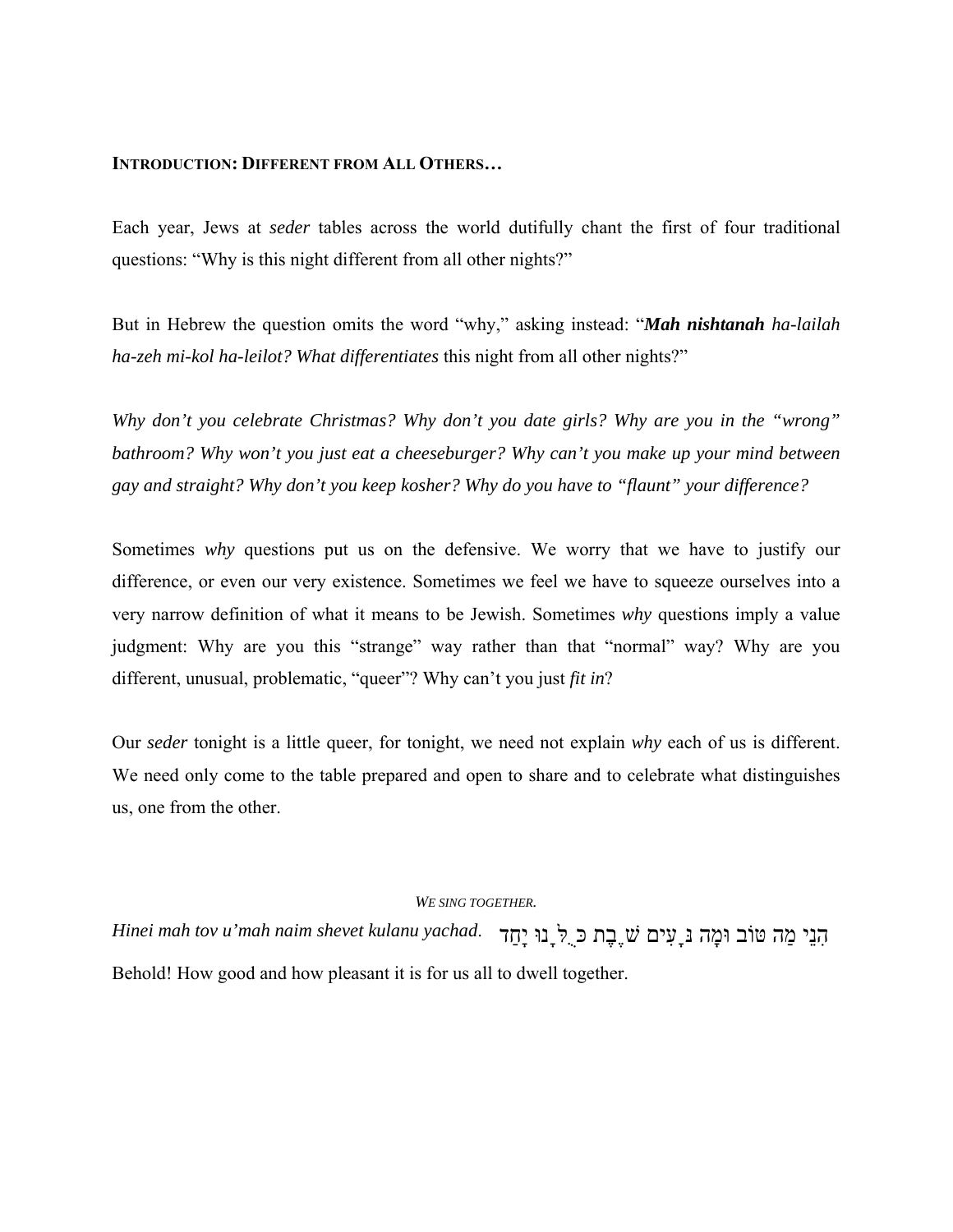#### **INTRODUCTION: DIFFERENT FROM ALL OTHERS…**

Each year, Jews at *seder* tables across the world dutifully chant the first of four traditional questions: "Why is this night different from all other nights?"

But in Hebrew the question omits the word "why," asking instead: "*Mah nishtanah ha-lailah ha-zeh mi-kol ha-leilot? What differentiates* this night from all other nights?"

*Why don't you celebrate Christmas? Why don't you date girls? Why are you in the "wrong" bathroom? Why won't you just eat a cheeseburger? Why can't you make up your mind between gay and straight? Why don't you keep kosher? Why do you have to "flaunt" your difference?*

Sometimes *why* questions put us on the defensive. We worry that we have to justify our difference, or even our very existence. Sometimes we feel we have to squeeze ourselves into a very narrow definition of what it means to be Jewish. Sometimes *why* questions imply a value judgment: Why are you this "strange" way rather than that "normal" way? Why are you different, unusual, problematic, "queer"? Why can't you just *fit in*?

Our *seder* tonight is a little queer, for tonight, we need not explain *why* each of us is different. We need only come to the table prepared and open to share and to celebrate what distinguishes us, one from the other.

#### *WE SING TOGETHER.*

הִנֵי מַה טּוֹב וּמָה נָּעִים שֶֶׁבת כֻּלָּנוּ יָחַד .*yachad kulanu shevet naim mah'u tov mah Hinei* Behold! How good and how pleasant it is for us all to dwell together.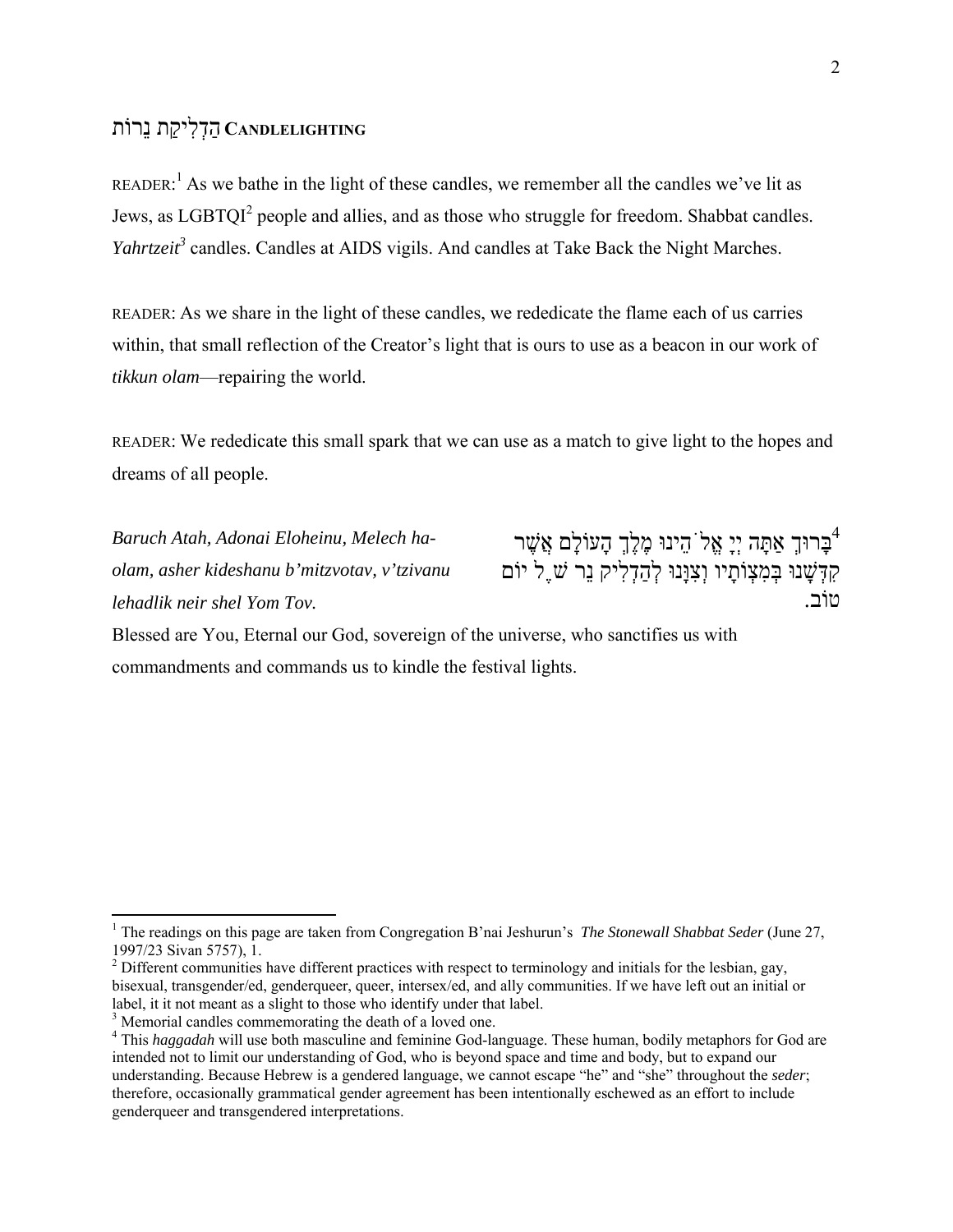# **CANDLELIGHTING** הַדְלִיקַת נֵרוֹת

READER:<sup>1</sup> As we bathe in the light of these candles, we remember all the candles we've lit as Jews, as  $LGBTQI<sup>2</sup>$  people and allies, and as those who struggle for freedom. Shabbat candles. *Yahrtzeit<sup>3</sup>* candles. Candles at AIDS vigils. And candles at Take Back the Night Marches.

READER: As we share in the light of these candles, we rededicate the flame each of us carries within, that small reflection of the Creator's light that is ours to use as a beacon in our work of *tikkun olam*—repairing the world.

READER: We rededicate this small spark that we can use as a match to give light to the hopes and dreams of all people.

*Baruch Atah, Adonai Eloheinu, Melech haolam, asher kideshanu b'mitzvotav, v'tzivanu lehadlik neir shel Yom Tov.*

בּרוּךְ אַתָּה יְיָ אֱל<sup>ֹי</sup>הֵינוּ מֶלֶךְ הָעוֹלָם אֲשֶׁר $^4$ קִדְּשָׁ נוּ בְּמִצְוֹתָיו וְצִוָּנוּ לְהַדְלִיק נֵר שֶׁל יוֹם טוֹב.

Blessed are You, Eternal our God, sovereign of the universe, who sanctifies us with commandments and commands us to kindle the festival lights.

<sup>&</sup>lt;sup>1</sup> The readings on this page are taken from Congregation B'nai Jeshurun's *The Stonewall Shabbat Seder* (June 27, 1997/23 Sivan 5757), 1.

 $2^2$  Different communities have different practices with respect to terminology and initials for the lesbian, gay, bisexual, transgender/ed, genderqueer, queer, intersex/ed, and ally communities. If we have left out an initial or label, it it not meant as a slight to those who identify under that label.

<sup>&</sup>lt;sup>3</sup> Memorial candles commemorating the death of a loved one.

<sup>&</sup>lt;sup>4</sup> This *haggadah* will use both masculine and feminine God-language. These human, bodily metaphors for God are intended not to limit our understanding of God, who is beyond space and time and body, but to expand our understanding. Because Hebrew is a gendered language, we cannot escape "he" and "she" throughout the *seder*; therefore, occasionally grammatical gender agreement has been intentionally eschewed as an effort to include genderqueer and transgendered interpretations.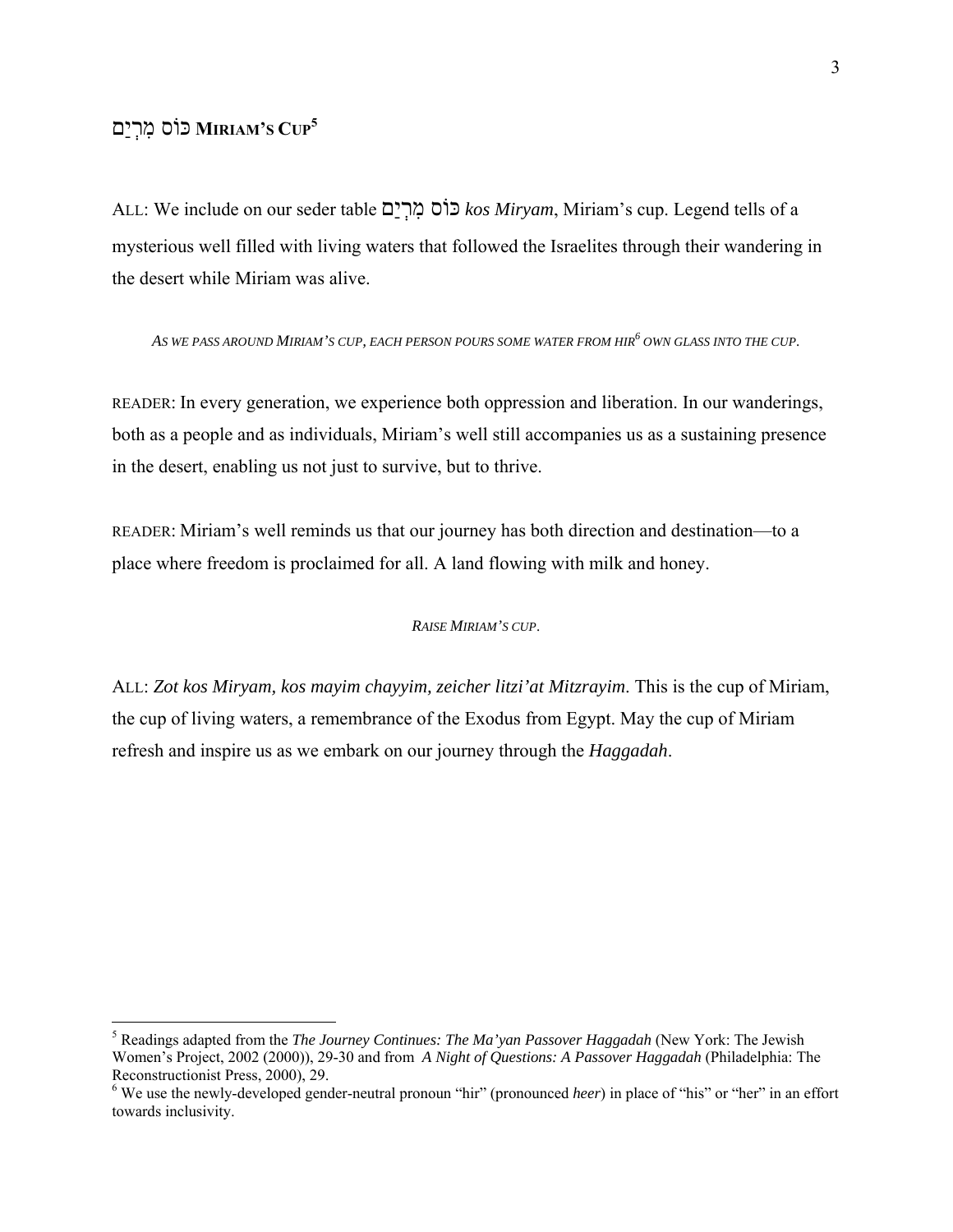# **5CUP S'MIRIAM** כּוֹס מִרְיַם

ALL: We include on our seder table םַיְרִמ כּוֹס *kos Miryam*, Miriam's cup. Legend tells of a mysterious well filled with living waters that followed the Israelites through their wandering in the desert while Miriam was alive.

As we pass around Miriam's cup, each person pours some water from hir<sup>6</sup> own glass into the cup.

READER: In every generation, we experience both oppression and liberation. In our wanderings, both as a people and as individuals, Miriam's well still accompanies us as a sustaining presence in the desert, enabling us not just to survive, but to thrive.

READER: Miriam's well reminds us that our journey has both direction and destination—to a place where freedom is proclaimed for all. A land flowing with milk and honey.

*RAISE MIRIAM'S CUP*.

ALL: *Zot kos Miryam, kos mayim chayyim, zeicher litzi'at Mitzrayim*. This is the cup of Miriam, the cup of living waters, a remembrance of the Exodus from Egypt. May the cup of Miriam refresh and inspire us as we embark on our journey through the *Haggadah*.

<sup>5</sup> Readings adapted from the *The Journey Continues: The Ma'yan Passover Haggadah* (New York: The Jewish Women's Project, 2002 (2000)), 29-30 and from *A Night of Questions: A Passover Haggadah* (Philadelphia: The Reconstructionist Press, 2000), 29.

<sup>&</sup>lt;sup>6</sup> We use the newly-developed gender-neutral pronoun "hir" (pronounced *heer*) in place of "his" or "her" in an effort towards inclusivity.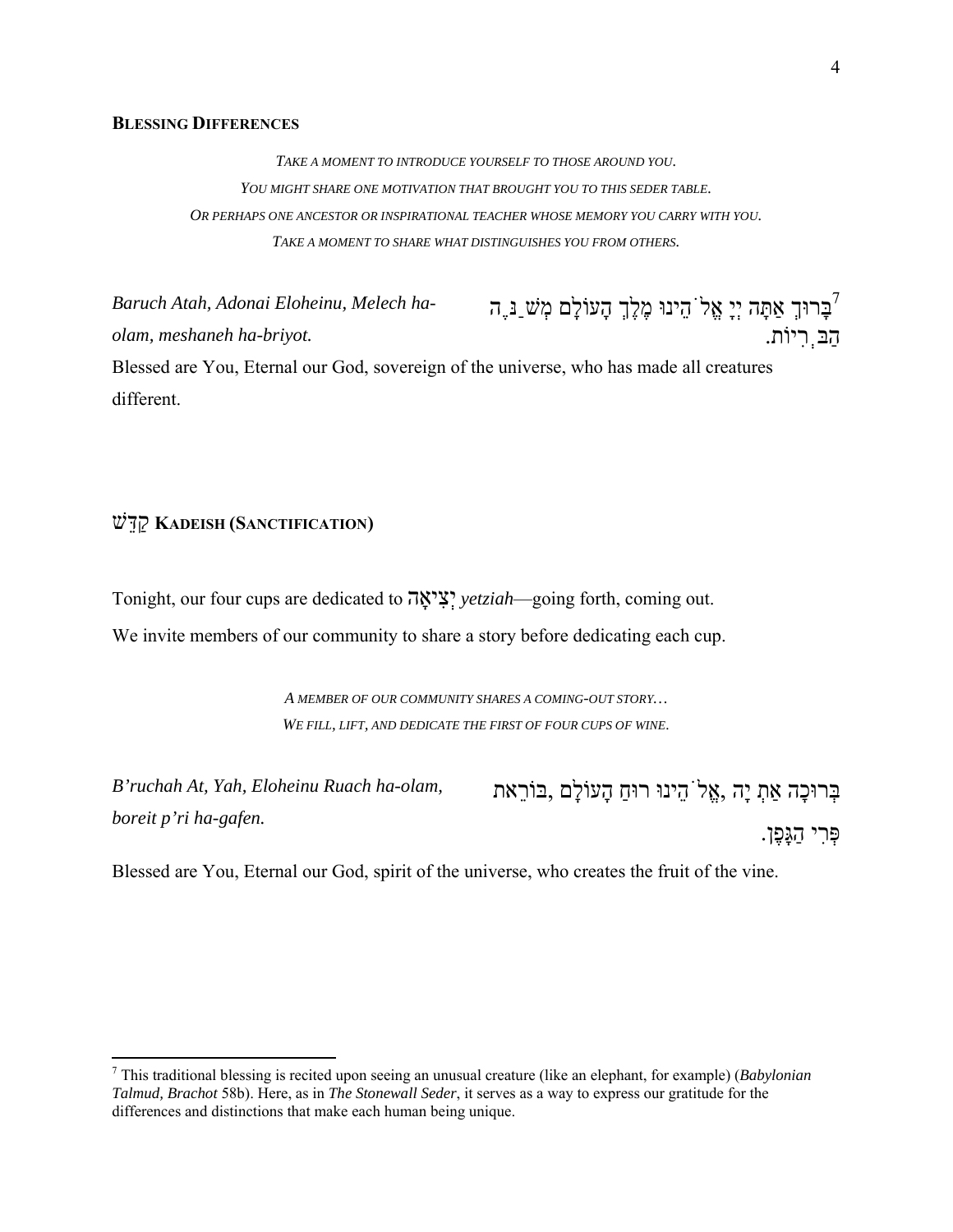#### **BLESSING DIFFERENCES**

*TAKE A MOMENT TO INTRODUCE YOURSELF TO THOSE AROUND YOU. YOU MIGHT SHARE ONE MOTIVATION THAT BROUGHT YOU TO THIS SEDER TABLE. OR PERHAPS ONE ANCESTOR OR INSPIRATIONAL TEACHER WHOSE MEMORY YOU CARRY WITH YOU. TAKE A MOMENT TO SHARE WHAT DISTINGUISHES YOU FROM OTHERS.* 

*Baruch Atah, Adonai Eloheinu, Melech haolam, meshaneh ha-briyot.* ָבְרוּךְ אַתָּה יְיָ אֱל<sup>ֹי</sup>הֵינוּ מֶלֶךְ הָעוֹלָם מְשֹׁנַנֶּ, ַהבְּרִיוֹת. Blessed are You, Eternal our God, sovereign of the universe, who has made all creatures different.

## **(SANCTIFICATION (KADEISH** קַדֵּשׁ

Tonight, our four cups are dedicated to יאָהִצְי *yetziah*—going forth, coming out.

We invite members of our community to share a story before dedicating each cup.

*A MEMBER OF OUR COMMUNITY SHARES A COMING-OUT STORY… WE FILL, LIFT, AND DEDICATE THE FIRST OF FOUR CUPS OF WINE*.

*B'ruchah At, Yah, Eloheinu Ruach ha-olam, boreit p'ri ha-gafen.* בְּרוּכָה ְאַת יָה ,אֱלֹהֵינוּ ַ רוּח הָעוֹלָם ,בּוֹרֵאת פְּרִי הַגָּפֶן.

Blessed are You, Eternal our God, spirit of the universe, who creates the fruit of the vine.

<sup>7</sup> This traditional blessing is recited upon seeing an unusual creature (like an elephant, for example) (*Babylonian Talmud, Brachot* 58b). Here, as in *The Stonewall Seder*, it serves as a way to express our gratitude for the differences and distinctions that make each human being unique.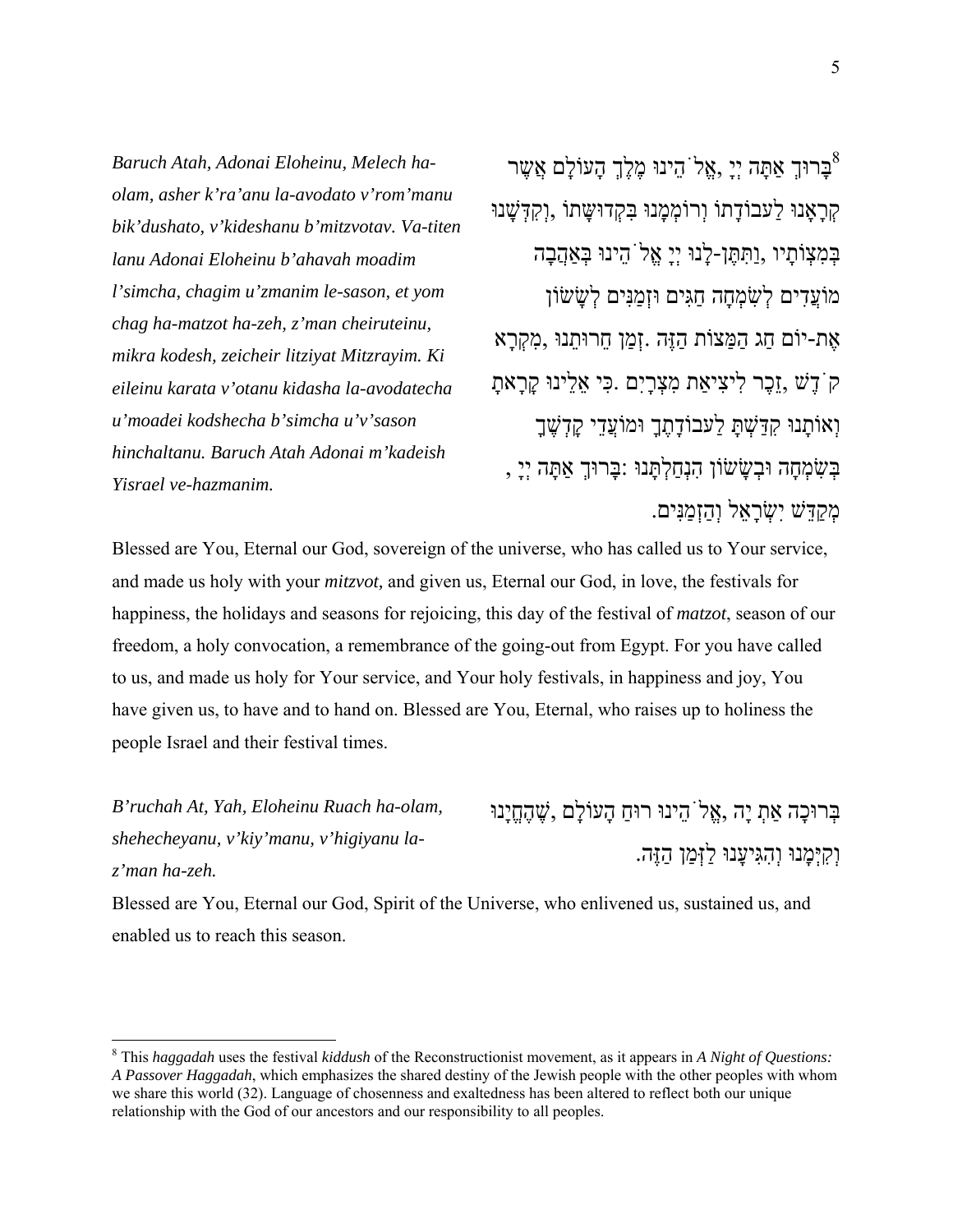*Baruch Atah, Adonai Eloheinu, Melech haolam, asher k'ra'anu la-avodato v'rom'manu bik'dushato, v'kideshanu b'mitzvotav. Va-titen lanu Adonai Eloheinu b'ahavah moadim l'simcha, chagim u'zmanim le-sason, et yom chag ha-matzot ha-zeh, z'man cheiruteinu, mikra kodesh, zeicheir litziyat Mitzrayim. Ki eileinu karata v'otanu kidasha la-avodatecha u'moadei kodshecha b'simcha u'v'sason hinchaltanu. Baruch Atah Adonai m'kadeish Yisrael ve-hazmanim.*

בָרוּך אַתָּה יִיַ ,אֱלֹ הֵינוּ מֵלֵךְ הָעוֹלָם אֲשֵר $^8$ קְרָאֲנוּ לַעבוֹדָתוֹ וְרוֹמְמַנוּ בִּקְדוּשָׁתוֹ ,וְקִדְּשֵׁנוּ בְּמִצְוֹתָיו ,וַתִּ תֶּן-לָנוּ יְיָ אֱלֹהֵינוּ בְּאַהֲבָה מוֹעֲדִים לְשָׂמְחָה חַגִּים וּזְמַנִּים לְשַׂשׂוֹן אֶת-יוֹם חַג הַמַּצוֹת הַזֶּה .זְמַן חֵרוּתֵנוּ ,מִקְרָא קֹדֶשׁ ,זֶכֶר לִיצִיאַת מִצְרַיִם .כִּי אֲלֵינוּ קַרַאת וְאוֹתַנוּ קִדַּשָׁתַּ לַעבוֹדָתֶךָ וּמוֹעֲדֵי קַדָּשֶׁךָ ָבְשִׂמְחָה וּבְשֵׂשׂוֹן הִנְחַלְתֲּנוּ :בַּרוּךָ אִתַּה יְיָ מְקַדֵּשׁ יִשְׂ רָאֵל וְהַזְמַנִּים.

Blessed are You, Eternal our God, sovereign of the universe, who has called us to Your service, and made us holy with your *mitzvot,* and given us, Eternal our God, in love, the festivals for happiness, the holidays and seasons for rejoicing, this day of the festival of *matzot*, season of our freedom, a holy convocation, a remembrance of the going-out from Egypt. For you have called to us, and made us holy for Your service, and Your holy festivals, in happiness and joy, You have given us, to have and to hand on. Blessed are You, Eternal, who raises up to holiness the people Israel and their festival times.

*B'ruchah At, Yah, Eloheinu Ruach ha-olam, shehecheyanu, v'kiy'manu, v'higiyanu la-* בְּרוּכָה ְאַת יָה ,אֱלֹהֵינוּ ַ רוּח הָעוֹלָם ,שֶׁ הֶחֱיָנוּ וְקִיְּמָנוּ וְהִגִּיעָנוּ לַזְּמַן הַזֶּה.

*z'man ha-zeh.*

Blessed are You, Eternal our God, Spirit of the Universe, who enlivened us, sustained us, and enabled us to reach this season.

<sup>8</sup> This *haggadah* uses the festival *kiddush* of the Reconstructionist movement, as it appears in *A Night of Questions: A Passover Haggadah*, which emphasizes the shared destiny of the Jewish people with the other peoples with whom we share this world (32). Language of chosenness and exaltedness has been altered to reflect both our unique relationship with the God of our ancestors and our responsibility to all peoples.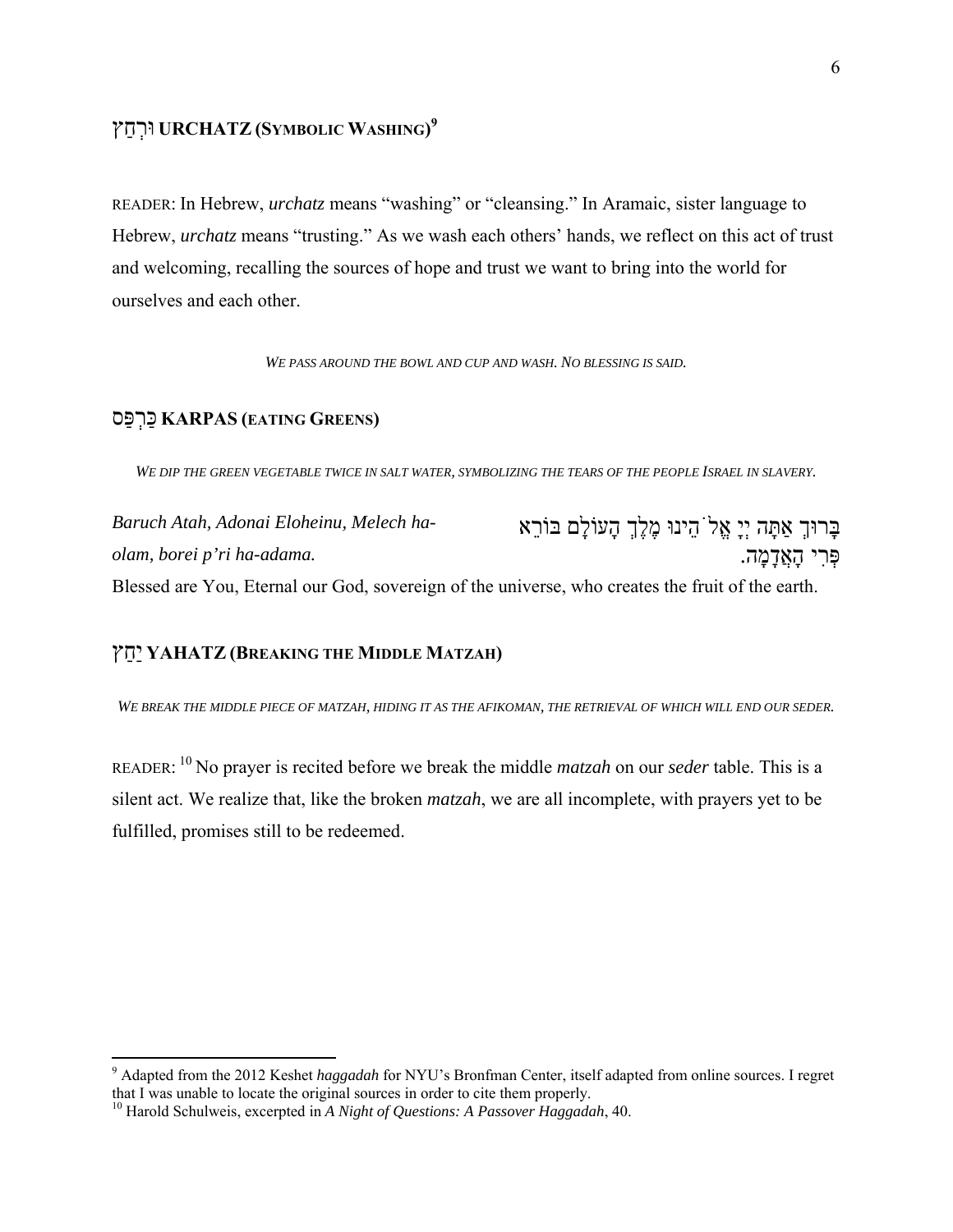# **(WASHING SYMBOLIC (URCHATZ** וּרְחַץ **9**

READER: In Hebrew, *urchatz* means "washing" or "cleansing." In Aramaic, sister language to Hebrew, *urchatz* means "trusting." As we wash each others' hands, we reflect on this act of trust and welcoming, recalling the sources of hope and trust we want to bring into the world for ourselves and each other.

*WE PASS AROUND THE BOWL AND CUP AND WASH. NO BLESSING IS SAID.* 

# **(GREENS EATING (KARPAS** כַּרְפַּס

*WE DIP THE GREEN VEGETABLE TWICE IN SALT WATER, SYMBOLIZING THE TEARS OF THE PEOPLE ISRAEL IN SLAVERY.* 

*Baruch Atah, Adonai Eloheinu, Melech haolam, borei p'ri ha-adama.* בּ ְ ָרוּך אַתָּה יְיָ אֱלֹהֵינוּ מֶלְֶך הָעוֹלָם בּוֹרֵא פְּרִי הָאֲדָמָה. Blessed are You, Eternal our God, sovereign of the universe, who creates the fruit of the earth.

#### ץַחַי **YAHATZ (BREAKING THE MIDDLE MATZAH)**

*WE BREAK THE MIDDLE PIECE OF MATZAH, HIDING IT AS THE AFIKOMAN, THE RETRIEVAL OF WHICH WILL END OUR SEDER.* 

READER: <sup>10</sup> No prayer is recited before we break the middle *matzah* on our *seder* table. This is a silent act. We realize that, like the broken *matzah*, we are all incomplete, with prayers yet to be fulfilled, promises still to be redeemed.

<sup>9</sup> Adapted from the 2012 Keshet *haggadah* for NYU's Bronfman Center, itself adapted from online sources. I regret that I was unable to locate the original sources in order to cite them properly. 10 Harold Schulweis, excerpted in *A Night of Questions: A Passover Haggadah*, 40.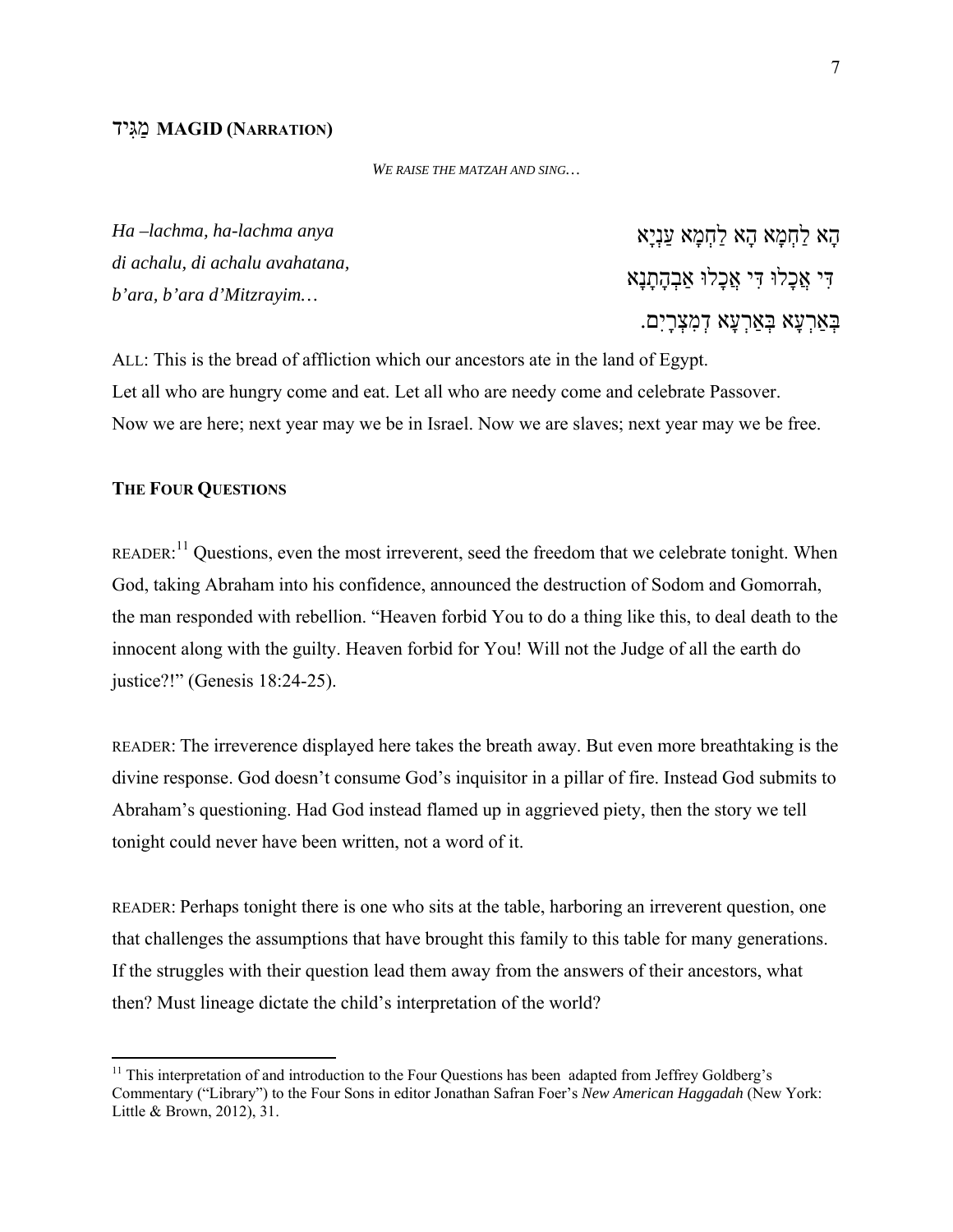#### **(NARRATION (MAGID** מַגִּיד

#### *WE RAISE THE MATZAH AND SING…*

*Ha –lachma, ha-lachma anya di achalu, di achalu avahatana, b'ara, b'ara d'Mitzrayim…*

| הָא לַחְמָא הָא לַחְמָא עַנְיָא       |
|---------------------------------------|
| דִּי אֲכָלוּ דִּי אֲכָלוּ אַבְהָתָנָא |
| ִבְאַרְעָא בְּאַרְעָא דְמִצְרָיִם.    |

ALL: This is the bread of affliction which our ancestors ate in the land of Egypt. Let all who are hungry come and eat. Let all who are needy come and celebrate Passover. Now we are here; next year may we be in Israel. Now we are slaves; next year may we be free.

#### **THE FOUR QUESTIONS**

READER:<sup>11</sup> Questions, even the most irreverent, seed the freedom that we celebrate tonight. When God, taking Abraham into his confidence, announced the destruction of Sodom and Gomorrah, the man responded with rebellion. "Heaven forbid You to do a thing like this, to deal death to the innocent along with the guilty. Heaven forbid for You! Will not the Judge of all the earth do justice?!" (Genesis 18:24-25).

READER: The irreverence displayed here takes the breath away. But even more breathtaking is the divine response. God doesn't consume God's inquisitor in a pillar of fire. Instead God submits to Abraham's questioning. Had God instead flamed up in aggrieved piety, then the story we tell tonight could never have been written, not a word of it.

READER: Perhaps tonight there is one who sits at the table, harboring an irreverent question, one that challenges the assumptions that have brought this family to this table for many generations. If the struggles with their question lead them away from the answers of their ancestors, what then? Must lineage dictate the child's interpretation of the world?

 $11$  This interpretation of and introduction to the Four Questions has been adapted from Jeffrey Goldberg's Commentary ("Library") to the Four Sons in editor Jonathan Safran Foer's *New American Haggadah* (New York: Little & Brown, 2012), 31.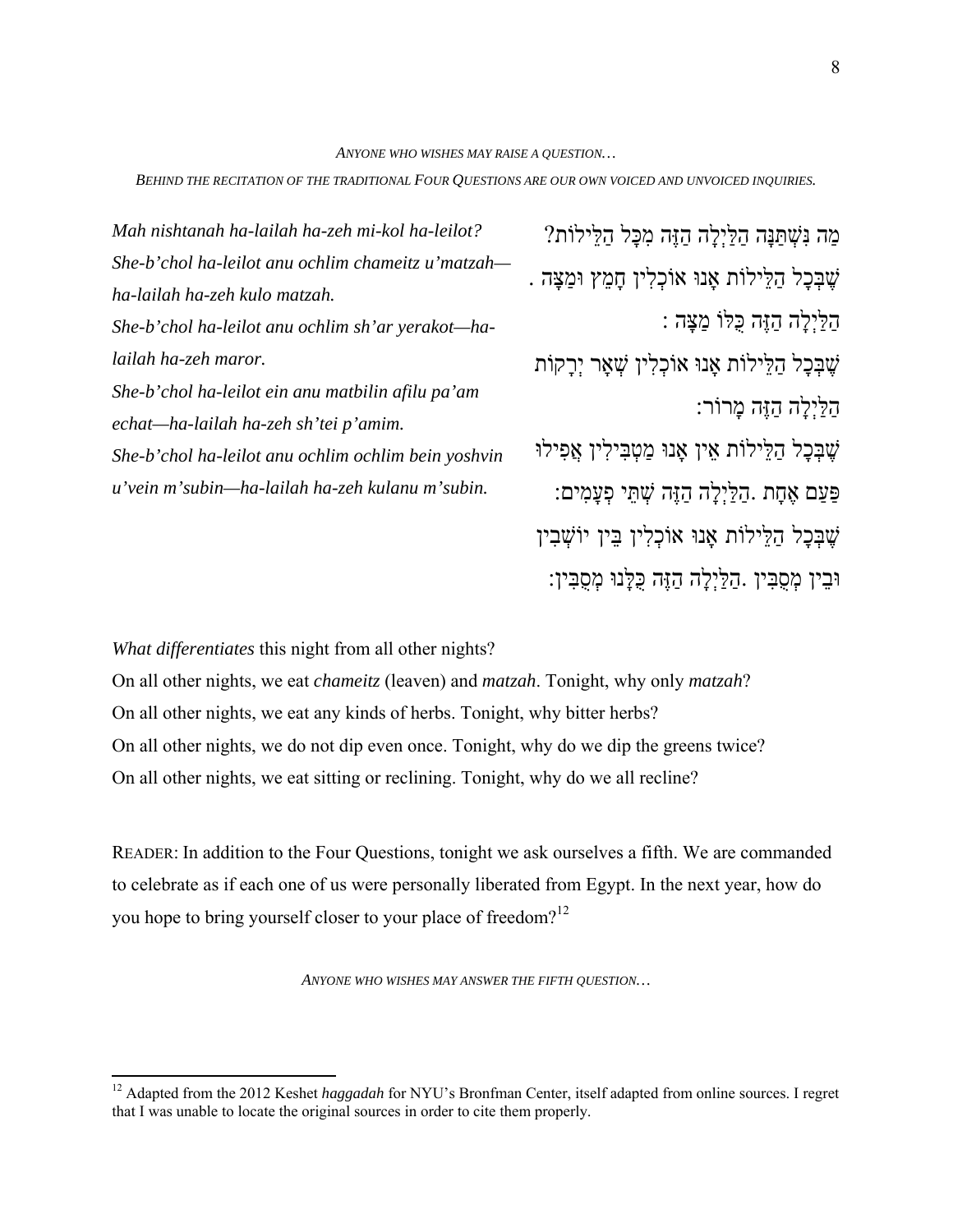*ANYONE WHO WISHES MAY RAISE A QUESTION… BEHIND THE RECITATION OF THE TRADITIONAL FOUR QUESTIONS ARE OUR OWN VOICED AND UNVOICED INQUIRIES.* 

*Mah nishtanah ha-lailah ha-zeh mi-kol ha-leilot? She-b'chol ha-leilot anu ochlim chameitz u'matzah ha-lailah ha-zeh kulo matzah. She-b'chol ha-leilot anu ochlim sh'ar yerakot—halailah ha-zeh maror. She-b'chol ha-leilot ein anu matbilin afilu pa'am echat—ha-lailah ha-zeh sh'tei p'amim. She-b'chol ha-leilot anu ochlim ochlim bein yoshvin u'vein m'subin—ha-lailah ha-zeh kulanu m'subin.* 

מַה נִּשְׁ תַּנָּה הַלַּיְלָה הַזֶּה מִכָּל הַלֵּילוֹת? שֶׁ בְּכָל הַלֵּילוֹת אָנוּ אוֹכְלִין חָמֵץ וּמַצָּה . הַלַּיְלָה הַזֶּה כֻּלּוֹ מַצָּה : שֶׁבְּכַל הַלֵּילוֹת אַנוּ אוֹכִלְין שְׁאָר יְרָקוֹת הַלַּיְלָה הַזֶּה מָרוֹר: שֶׁ בְּכָל הַלֵּילוֹת אֵין אָנוּ מַטְבִּילִין אֲפִילוּ פַּעַם אֶחָת .הַלַּיְלָה הַזֶּה שְׁ תֵּי פְעָמִים: שִׁבַּכַל הַלִּילוֹת אָנוּ אוֹכַלִין בֵּין יוֹשֵׁבֵין וּבֵין מְסֻבִּין .הַלַּיְלָה הַזֶּה כֻּלָּנוּ מְסֻבִּין:

*What differentiates* this night from all other nights?

On all other nights, we eat *chameitz* (leaven) and *matzah*. Tonight, why only *matzah*? On all other nights, we eat any kinds of herbs. Tonight, why bitter herbs? On all other nights, we do not dip even once. Tonight, why do we dip the greens twice? On all other nights, we eat sitting or reclining. Tonight, why do we all recline?

READER: In addition to the Four Questions, tonight we ask ourselves a fifth. We are commanded to celebrate as if each one of us were personally liberated from Egypt. In the next year, how do you hope to bring yourself closer to your place of freedom?<sup>12</sup>

*ANYONE WHO WISHES MAY ANSWER THE FIFTH QUESTION…* 

<sup>&</sup>lt;sup>12</sup> Adapted from the 2012 Keshet *haggadah* for NYU's Bronfman Center, itself adapted from online sources. I regret that I was unable to locate the original sources in order to cite them properly.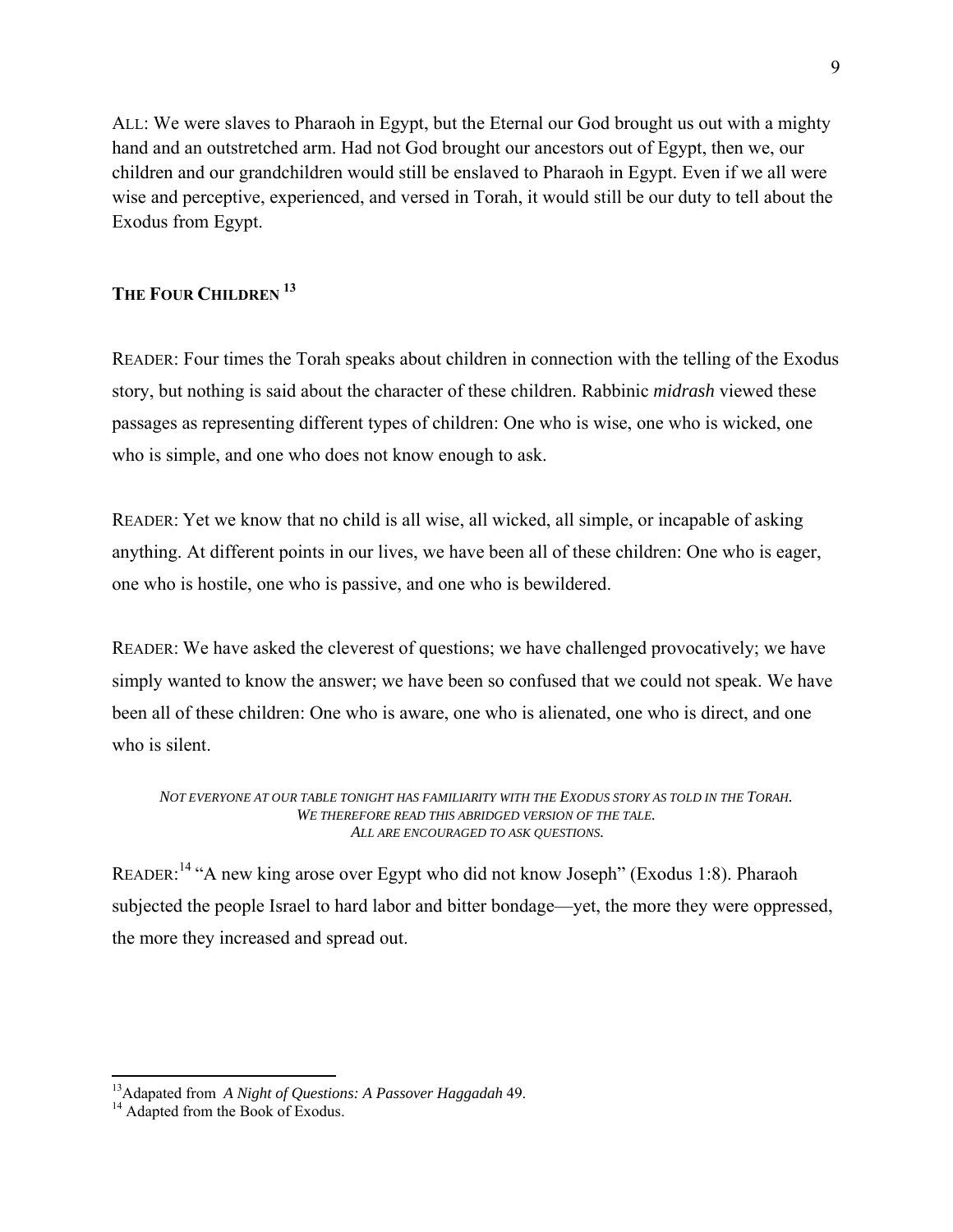ALL: We were slaves to Pharaoh in Egypt, but the Eternal our God brought us out with a mighty hand and an outstretched arm. Had not God brought our ancestors out of Egypt, then we, our children and our grandchildren would still be enslaved to Pharaoh in Egypt. Even if we all were wise and perceptive, experienced, and versed in Torah, it would still be our duty to tell about the Exodus from Egypt.

# **THE FOUR CHILDREN <sup>13</sup>**

READER: Four times the Torah speaks about children in connection with the telling of the Exodus story, but nothing is said about the character of these children. Rabbinic *midrash* viewed these passages as representing different types of children: One who is wise, one who is wicked, one who is simple, and one who does not know enough to ask.

READER: Yet we know that no child is all wise, all wicked, all simple, or incapable of asking anything. At different points in our lives, we have been all of these children: One who is eager, one who is hostile, one who is passive, and one who is bewildered.

READER: We have asked the cleverest of questions; we have challenged provocatively; we have simply wanted to know the answer; we have been so confused that we could not speak. We have been all of these children: One who is aware, one who is alienated, one who is direct, and one who is silent.

*NOT EVERYONE AT OUR TABLE TONIGHT HAS FAMILIARITY WITH THE EXODUS STORY AS TOLD IN THE TORAH. WE THEREFORE READ THIS ABRIDGED VERSION OF THE TALE. ALL ARE ENCOURAGED TO ASK QUESTIONS.* 

READER:<sup>14</sup> "A new king arose over Egypt who did not know Joseph" (Exodus 1:8). Pharaoh subjected the people Israel to hard labor and bitter bondage—yet, the more they were oppressed, the more they increased and spread out.

<sup>&</sup>lt;sup>13</sup>Adapated from *A Night of Questions: A Passover Haggadah* 49.<br><sup>14</sup> Adapted from the Book of Exodus.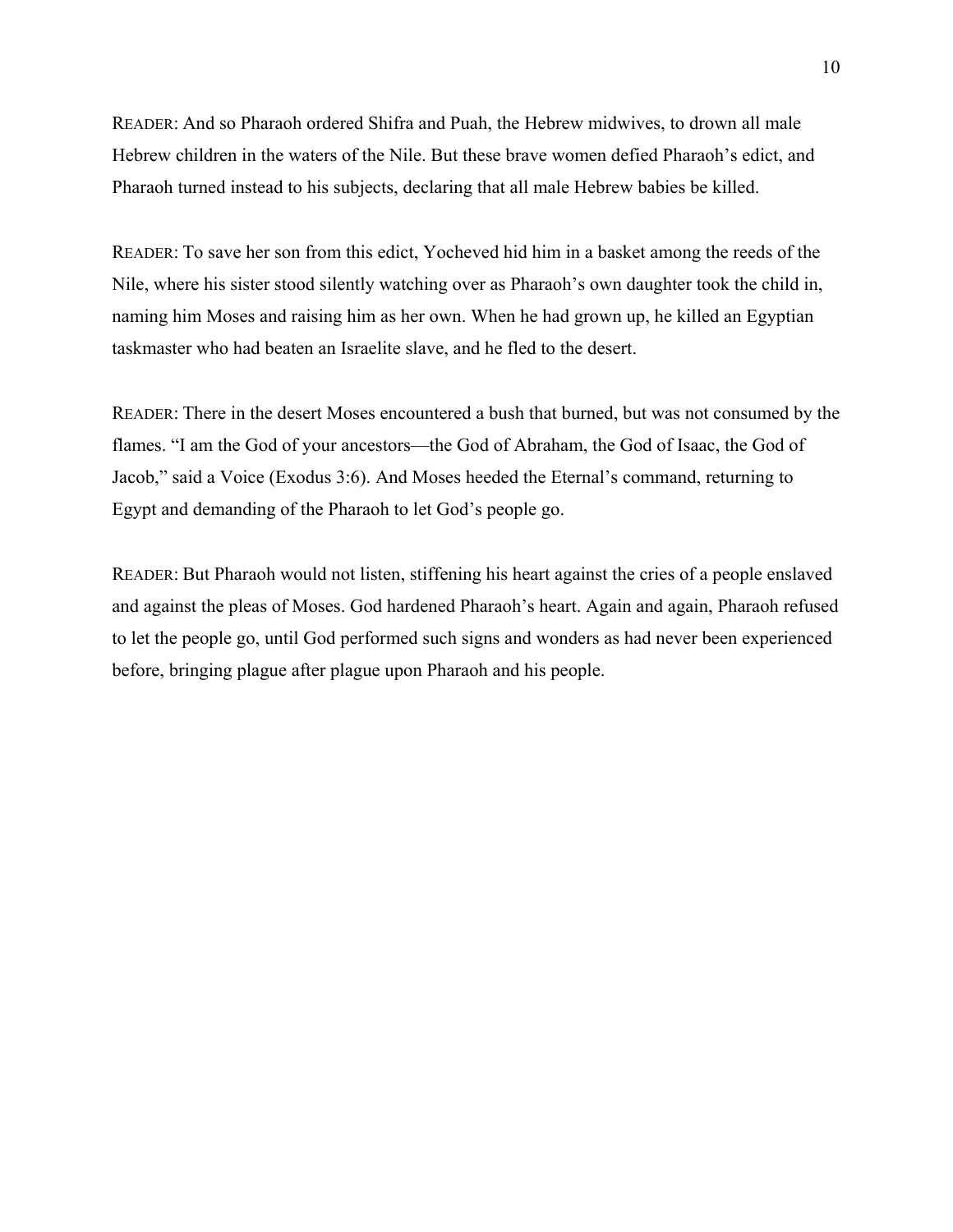READER: And so Pharaoh ordered Shifra and Puah, the Hebrew midwives, to drown all male Hebrew children in the waters of the Nile. But these brave women defied Pharaoh's edict, and Pharaoh turned instead to his subjects, declaring that all male Hebrew babies be killed.

READER: To save her son from this edict, Yocheved hid him in a basket among the reeds of the Nile, where his sister stood silently watching over as Pharaoh's own daughter took the child in, naming him Moses and raising him as her own. When he had grown up, he killed an Egyptian taskmaster who had beaten an Israelite slave, and he fled to the desert.

READER: There in the desert Moses encountered a bush that burned, but was not consumed by the flames. "I am the God of your ancestors—the God of Abraham, the God of Isaac, the God of Jacob," said a Voice (Exodus 3:6). And Moses heeded the Eternal's command, returning to Egypt and demanding of the Pharaoh to let God's people go.

READER: But Pharaoh would not listen, stiffening his heart against the cries of a people enslaved and against the pleas of Moses. God hardened Pharaoh's heart. Again and again, Pharaoh refused to let the people go, until God performed such signs and wonders as had never been experienced before, bringing plague after plague upon Pharaoh and his people.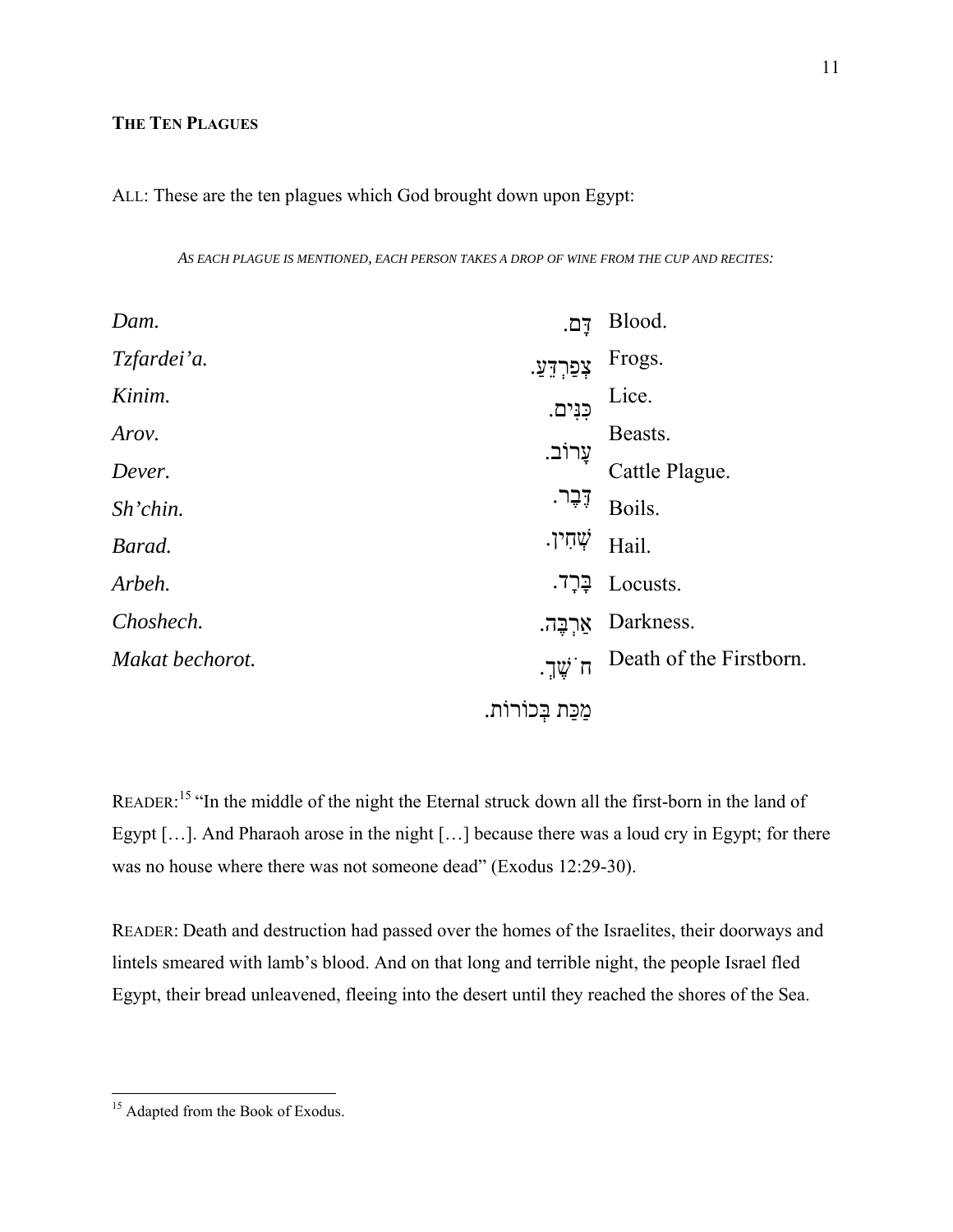## **THE TEN PLAGUES**

ALL: These are the ten plagues which God brought down upon Egypt:

*AS EACH PLAGUE IS MENTIONED, EACH PERSON TAKES A DROP OF WINE FROM THE CUP AND RECITES:*

| Dam.            | Fם.                 | Blood.                  |
|-----------------|---------------------|-------------------------|
| Tzfardei'a.     | <u>צְפַרְדֵעַ</u> . | Frogs.                  |
| Kinim.          | כִּנִּים.           | Lice.                   |
| Arov.           |                     | Beasts.                 |
| Dever.          | עֲרוֹב.             | Cattle Plague.          |
| Sh'chin.        | דֶּבֶר.             | Boils.                  |
| Barad.          | ִשְׁחִין.           | Hail.                   |
| Arbeh.          | ַבְּרָד.            | Locusts.                |
| Choshech.       | אַרִבֵּה.           | Darkness.               |
| Makat bechorot. | ּח שֶׁךָ.           | Death of the Firstborn. |
|                 | מכת בִּכוֹרוֹת.     |                         |

READER:<sup>15</sup> "In the middle of the night the Eternal struck down all the first-born in the land of Egypt […]. And Pharaoh arose in the night […] because there was a loud cry in Egypt; for there was no house where there was not someone dead" (Exodus 12:29-30).

READER: Death and destruction had passed over the homes of the Israelites, their doorways and lintels smeared with lamb's blood. And on that long and terrible night, the people Israel fled Egypt, their bread unleavened, fleeing into the desert until they reached the shores of the Sea.

 <sup>15</sup> Adapted from the Book of Exodus.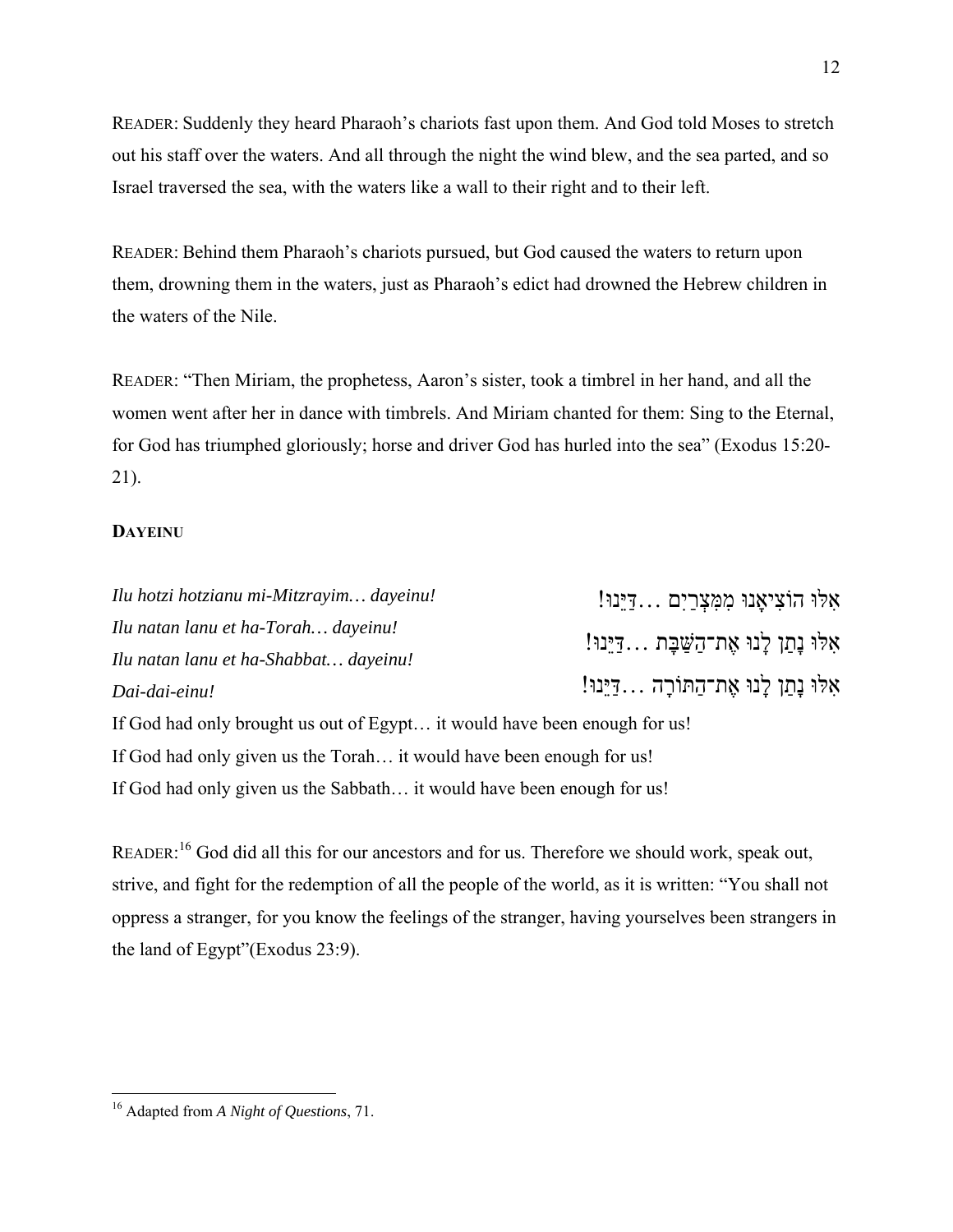READER: Suddenly they heard Pharaoh's chariots fast upon them. And God told Moses to stretch out his staff over the waters. And all through the night the wind blew, and the sea parted, and so Israel traversed the sea, with the waters like a wall to their right and to their left.

READER: Behind them Pharaoh's chariots pursued, but God caused the waters to return upon them, drowning them in the waters, just as Pharaoh's edict had drowned the Hebrew children in the waters of the Nile.

READER: "Then Miriam, the prophetess, Aaron's sister, took a timbrel in her hand, and all the women went after her in dance with timbrels. And Miriam chanted for them: Sing to the Eternal, for God has triumphed gloriously; horse and driver God has hurled into the sea" (Exodus 15:20- 21).

## **DAYEINU**

| Ilu hotzi hotzianu mi-Mitzrayim dayeinu!                                  | אַלוּ הוֹצִיאַנוּ מִמְּצְרַיִם דַיֵּנוּ!   |
|---------------------------------------------------------------------------|--------------------------------------------|
| Ilu natan lanu et ha-Torah dayeinu!                                       | אִלוּ נַתַן לַנוּ אֵת־הַשַּׁבַּת דַיֵּנוּ! |
| Ilu natan lanu et ha-Shabbat dayeinu!                                     |                                            |
| Dai-dai-einu!                                                             | אִלוּ נַתַן לַנוּ אֶת־הַתּוֹרַהדַיֵּנוּ!   |
| If God had only brought us out of Egypt it would have been enough for us! |                                            |
| If God had only given us the Torah it would have been enough for us!      |                                            |
| If God had only given us the Sabbath it would have been enough for us!    |                                            |

READER:<sup>16</sup> God did all this for our ancestors and for us. Therefore we should work, speak out, strive, and fight for the redemption of all the people of the world, as it is written: "You shall not oppress a stranger, for you know the feelings of the stranger, having yourselves been strangers in the land of Egypt"(Exodus 23:9).

 16 Adapted from *A Night of Questions*, 71.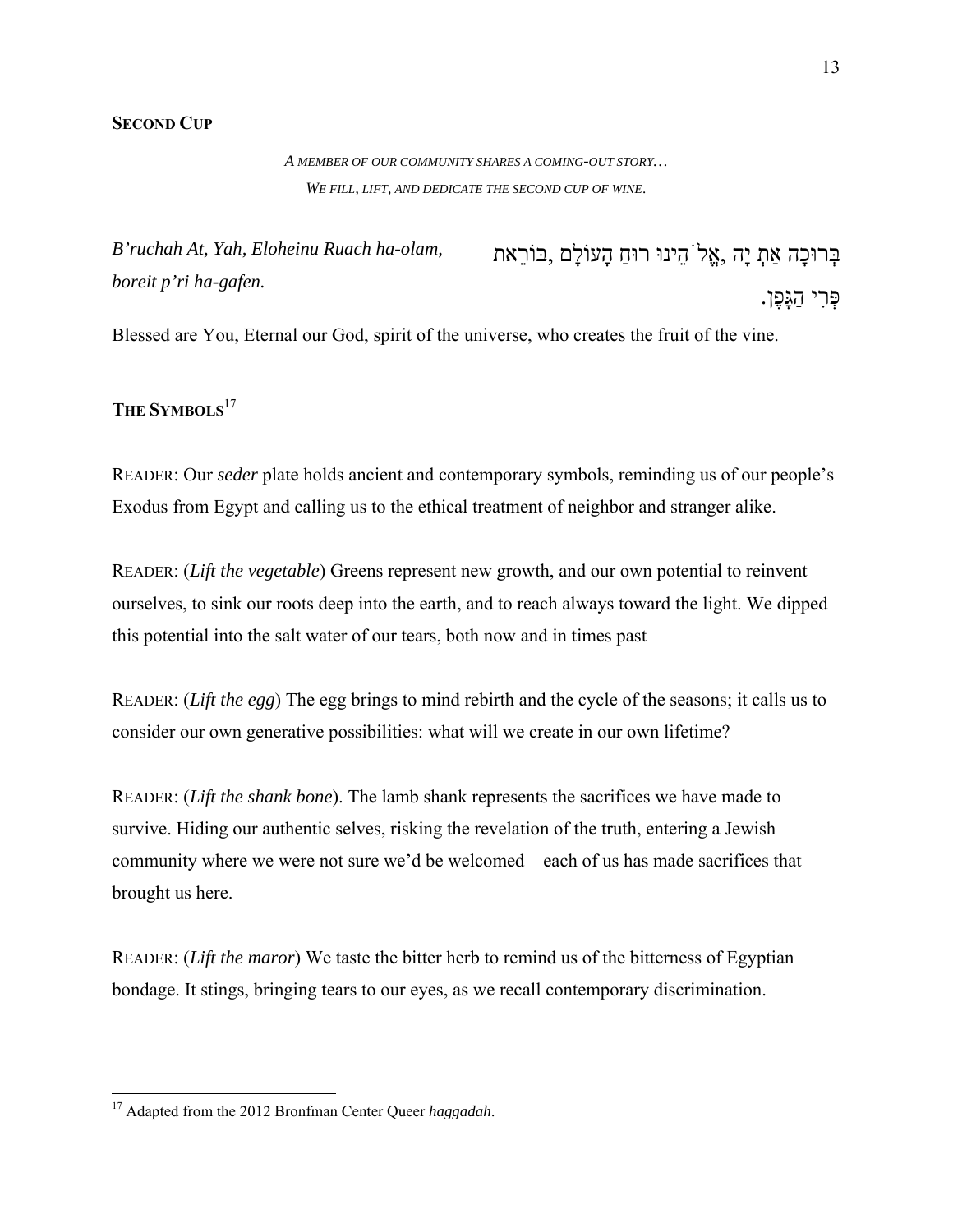#### **SECOND CUP**

*A MEMBER OF OUR COMMUNITY SHARES A COMING-OUT STORY… WE FILL, LIFT, AND DEDICATE THE SECOND CUP OF WINE*.

*B'ruchah At, Yah, Eloheinu Ruach ha-olam, boreit p'ri ha-gafen.* בְּרוּכָה ְאַת יָה ,אֱלֹהֵינוּ ַ רוּח הָעוֹלָם ,בּוֹרֵאת פְּרִי הַגָּפֶן.

Blessed are You, Eternal our God, spirit of the universe, who creates the fruit of the vine.

# **THE SYMBOLS**<sup>17</sup>

READER: Our *seder* plate holds ancient and contemporary symbols, reminding us of our people's Exodus from Egypt and calling us to the ethical treatment of neighbor and stranger alike.

READER: (*Lift the vegetable*) Greens represent new growth, and our own potential to reinvent ourselves, to sink our roots deep into the earth, and to reach always toward the light. We dipped this potential into the salt water of our tears, both now and in times past

READER: (*Lift the egg*) The egg brings to mind rebirth and the cycle of the seasons; it calls us to consider our own generative possibilities: what will we create in our own lifetime?

READER: (*Lift the shank bone*). The lamb shank represents the sacrifices we have made to survive. Hiding our authentic selves, risking the revelation of the truth, entering a Jewish community where we were not sure we'd be welcomed—each of us has made sacrifices that brought us here.

READER: (*Lift the maror*) We taste the bitter herb to remind us of the bitterness of Egyptian bondage. It stings, bringing tears to our eyes, as we recall contemporary discrimination.

<sup>17</sup> Adapted from the 2012 Bronfman Center Queer *haggadah*.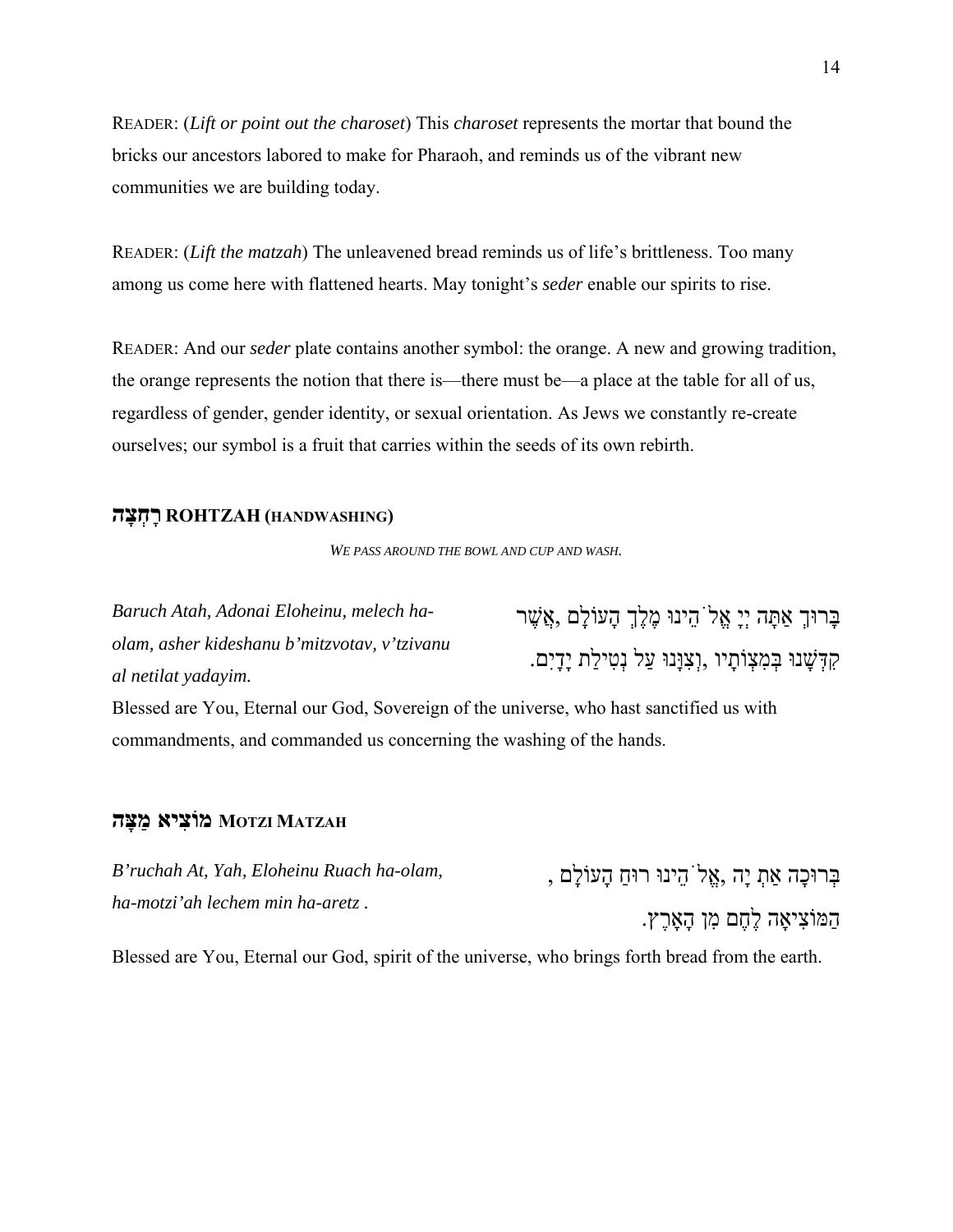READER: (*Lift or point out the charoset*) This *charoset* represents the mortar that bound the bricks our ancestors labored to make for Pharaoh, and reminds us of the vibrant new communities we are building today.

READER: (*Lift the matzah*) The unleavened bread reminds us of life's brittleness. Too many among us come here with flattened hearts. May tonight's *seder* enable our spirits to rise.

READER: And our *seder* plate contains another symbol: the orange. A new and growing tradition, the orange represents the notion that there is—there must be—a place at the table for all of us, regardless of gender, gender identity, or sexual orientation. As Jews we constantly re-create ourselves; our symbol is a fruit that carries within the seeds of its own rebirth.

## **(HANDWASHING (ROHTZAH רָחְ צָ ה**

*WE PASS AROUND THE BOWL AND CUP AND WASH.* 

*Baruch Atah, Adonai Eloheinu, melech haolam, asher kideshanu b'mitzvotav, v'tzivanu al netilat yadayim.* ָבְרוּךְ אַתָּה יְיָ אֱלֹ`הֵינוּ מֶלֶךְ הַעוֹלַם ,אֲשֶׁר קִדְּשָׁ נוּ בְּמִצְוֹתָיו ,וְצִוָּנוּ עַל נְטִילַת יָדָיִם.

Blessed are You, Eternal our God, Sovereign of the universe, who hast sanctified us with commandments, and commanded us concerning the washing of the hands.

## **MATZAH MOTZI מוֹצִ יא מַ צָּ ה**

| B'ruchah At, Yah, Eloheinu Ruach ha-olam, | ַבְרוּכָה אַתְ יָה ,אֱלֹ הֵינוּ רוּחַ הָעוֹלָם |
|-------------------------------------------|------------------------------------------------|
| ha-motzi'ah lechem min ha-aretz.          | הַמּוֹצִיאָה לֶחֶם מִן הָאֲרֶץ.                |
|                                           |                                                |

Blessed are You, Eternal our God, spirit of the universe, who brings forth bread from the earth.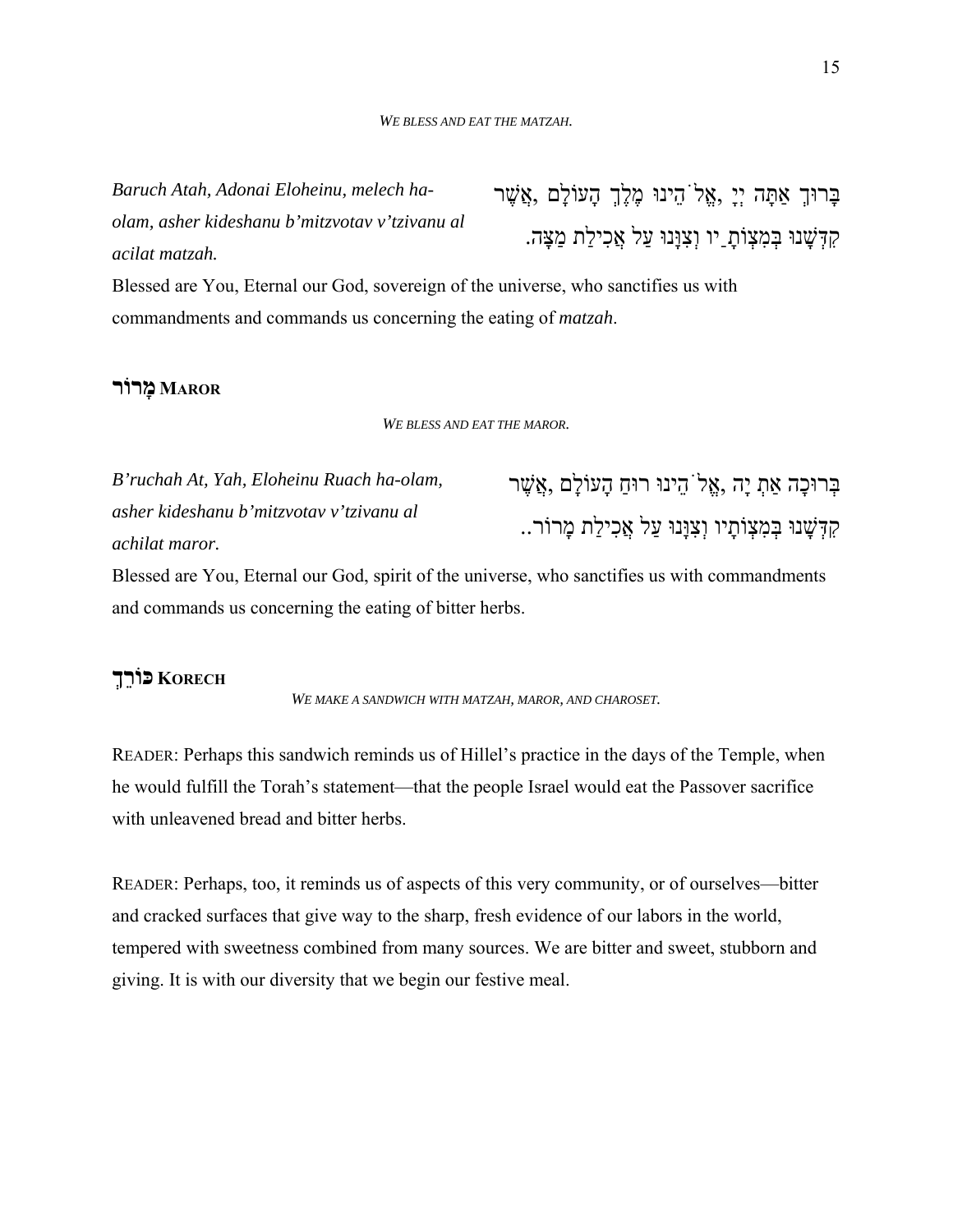*Baruch Atah, Adonai Eloheinu, melech haolam, asher kideshanu b'mitzvotav v'tzivanu al acilat matzah.*

בּ ְ ָרוּך אַתָּה יְיָ ,אֱלֹהֵינוּ מֶלְֶך הָעוֹלָם ,אֲשֶׁ ר קִדְּשָׁ נוּ בְּמִצְוֹתַָיו וְצִוָּנוּ עַל אֲכִילַת מַצָּה.

Blessed are You, Eternal our God, sovereign of the universe, who sanctifies us with commandments and commands us concerning the eating of *matzah*.

## **MAROR מָ רוֹר**

*WE BLESS AND EAT THE MAROR.* 

| B'ruchah At, Yah, Eloheinu Ruach ha-olam, | ּבְרוּכָה אַתְ יָה ,אֱלֹ הֵינוּ רוּחַ הָעוֹלַם ,אֲשֵׁר   |
|-------------------------------------------|----------------------------------------------------------|
| asher kideshanu b'mitzvotav v'tzivanu al  | קִדְּשָׁנוּ בְּמִצְוֹתָיו וְצִוָּנוּ עַל אֲכִילַת מָרוֹר |
| achilat maror.                            |                                                          |

Blessed are You, Eternal our God, spirit of the universe, who sanctifies us with commandments and commands us concerning the eating of bitter herbs.

# **KORECH כּוֹרְֵך**

*WE MAKE A SANDWICH WITH MATZAH, MAROR, AND CHAROSET.* 

READER: Perhaps this sandwich reminds us of Hillel's practice in the days of the Temple, when he would fulfill the Torah's statement—that the people Israel would eat the Passover sacrifice with unleavened bread and bitter herbs.

READER: Perhaps, too, it reminds us of aspects of this very community, or of ourselves—bitter and cracked surfaces that give way to the sharp, fresh evidence of our labors in the world, tempered with sweetness combined from many sources. We are bitter and sweet, stubborn and giving. It is with our diversity that we begin our festive meal.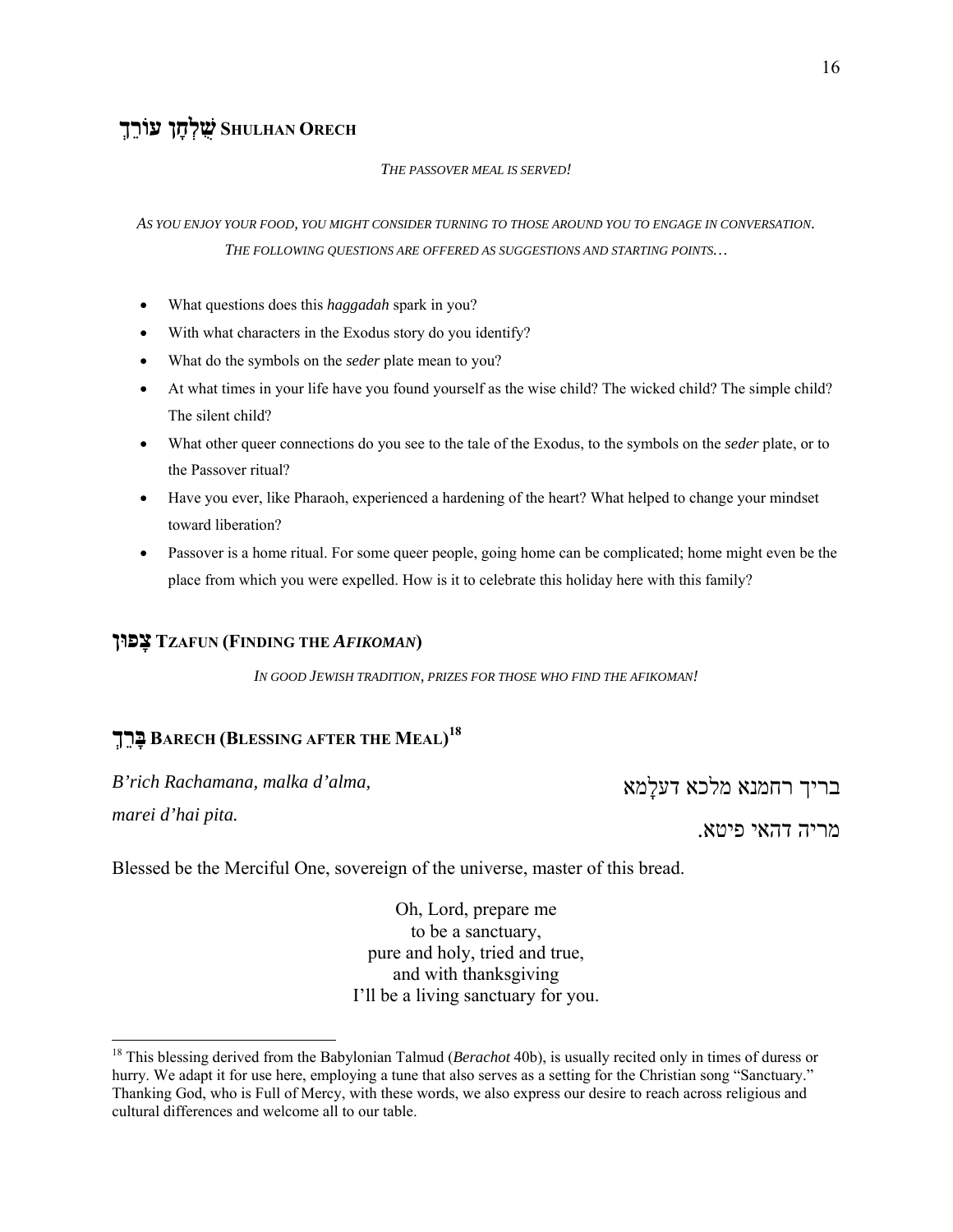# **ORECH SHULHAN ֻשׁלְחָ ן עוֹרְֵך**

#### *THE PASSOVER MEAL IS SERVED!*

*AS YOU ENJOY YOUR FOOD, YOU MIGHT CONSIDER TURNING TO THOSE AROUND YOU TO ENGAGE IN CONVERSATION. THE FOLLOWING QUESTIONS ARE OFFERED AS SUGGESTIONS AND STARTING POINTS…* 

- What questions does this *haggadah* spark in you?
- With what characters in the Exodus story do you identify?
- What do the symbols on the *seder* plate mean to you?
- At what times in your life have you found yourself as the wise child? The wicked child? The simple child? The silent child?
- What other queer connections do you see to the tale of the Exodus, to the symbols on the *seder* plate, or to the Passover ritual?
- Have you ever, like Pharaoh, experienced a hardening of the heart? What helped to change your mindset toward liberation?
- Passover is a home ritual. For some queer people, going home can be complicated; home might even be the place from which you were expelled. How is it to celebrate this holiday here with this family?

## **פוּן ָצ TZAFUN (FINDING THE** *AFIKOMAN***)**

*IN GOOD JEWISH TRADITION, PRIZES FOR THOSE WHO FIND THE AFIKOMAN!* 

# **ךְֵרָבּ BARECH (BLESSING AFTER THE MEAL) 18**

*B'rich Rachamana, malka d'alma,* 

*marei d'hai pita.*

בריך רחמנא מלכא דעלָמא

מריה דהאי פיטא.

Blessed be the Merciful One, sovereign of the universe, master of this bread.

Oh, Lord, prepare me to be a sanctuary, pure and holy, tried and true, and with thanksgiving I'll be a living sanctuary for you.

<sup>&</sup>lt;sup>18</sup> This blessing derived from the Babylonian Talmud (*Berachot* 40b), is usually recited only in times of duress or hurry. We adapt it for use here, employing a tune that also serves as a setting for the Christian song "Sanctuary." Thanking God, who is Full of Mercy, with these words, we also express our desire to reach across religious and cultural differences and welcome all to our table.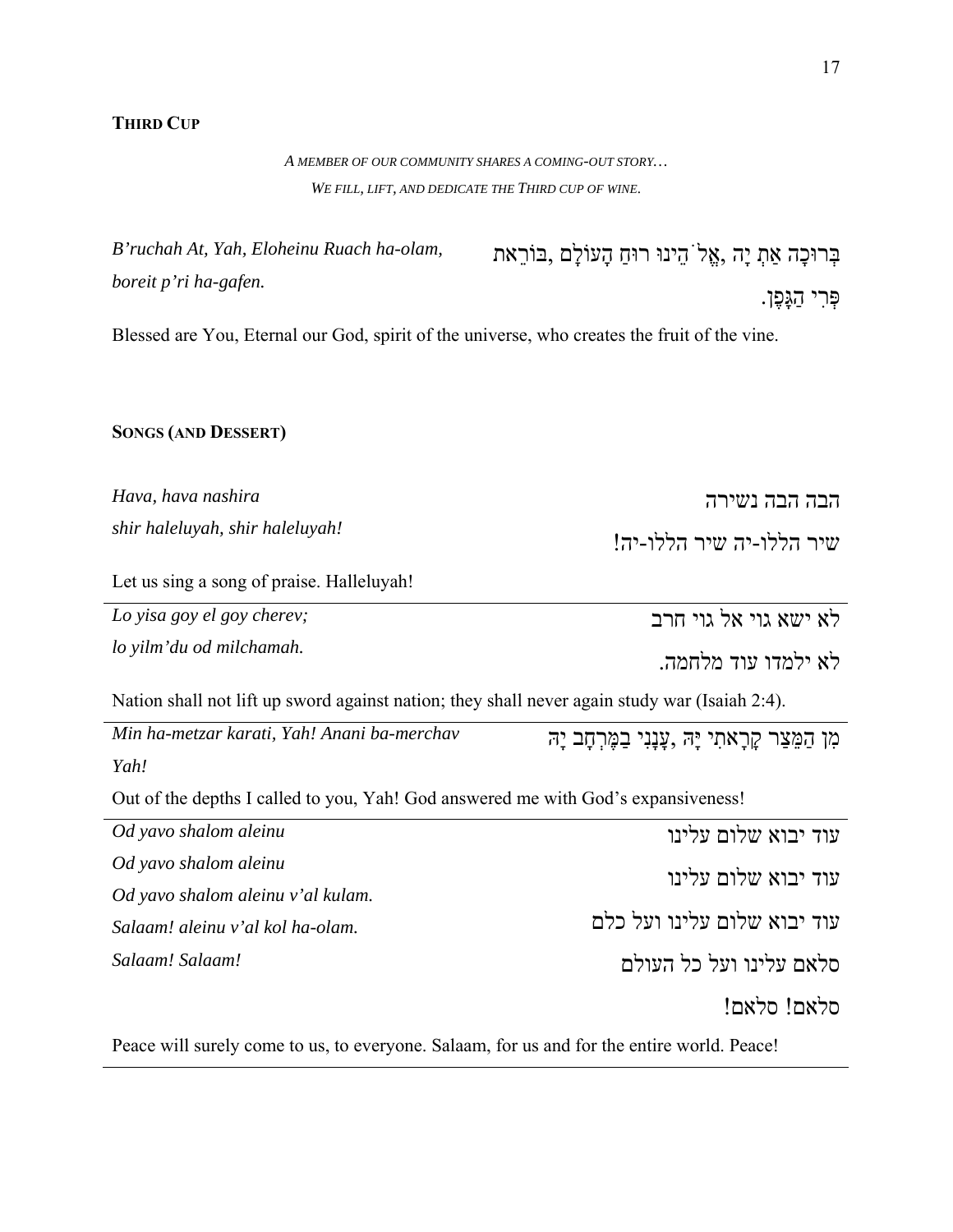# **THIRD CUP**

# *A MEMBER OF OUR COMMUNITY SHARES A COMING-OUT STORY… WE FILL, LIFT, AND DEDICATE THE THIRD CUP OF WINE*.

*B'ruchah At, Yah, Eloheinu Ruach ha-olam, boreit p'ri ha-gafen.* בְּרוּכָה אַתְ יָה ,אֱל<sup>ֹי</sup>הֵינוּ רוּחַ הָעוֹלָם ,בּוֹרֵאת פְּרִי הַגָּפֶן.

Blessed are You, Eternal our God, spirit of the universe, who creates the fruit of the vine.

# **SONGS (AND DESSERT)**

| Hava, hava nashira                                                                            | הבה הבה נשירה                                       |
|-----------------------------------------------------------------------------------------------|-----------------------------------------------------|
| shir haleluyah, shir haleluyah!                                                               | שיר הללו-יה שיר הללו-יה!                            |
| Let us sing a song of praise. Halleluyah!                                                     |                                                     |
| Lo yisa goy el goy cherev;                                                                    | לא ישא גוי אל גוי חרב                               |
| lo yilm'du od milchamah.                                                                      | לא ילמדו עוד מלחמה.                                 |
| Nation shall not lift up sword against nation; they shall never again study war (Isaiah 2:4). |                                                     |
| Min ha-metzar karati, Yah! Anani ba-merchav                                                   | ּמָן הַמֵּצַר קָרָאתִי יָּה ,עֲנָנִי בַמֶּרְחָב יָה |
| Yah!                                                                                          |                                                     |
|                                                                                               |                                                     |
| Out of the depths I called to you, Yah! God answered me with God's expansiveness!             |                                                     |
| Od yavo shalom aleinu                                                                         | עוד יבוא שלום עלינו                                 |
| Od yavo shalom aleinu                                                                         |                                                     |
| Od yavo shalom aleinu v'al kulam.                                                             | עוד יבוא שלום עלינו                                 |
| Salaam! aleinu v'al kol ha-olam.                                                              | עוד יבוא שלום עלינו ועל כלם                         |
| Salaam! Salaam!                                                                               | סלאם עלינו ועל כל העולם                             |
|                                                                                               | סלאם! סלאם!                                         |

Peace will surely come to us, to everyone. Salaam, for us and for the entire world. Peace!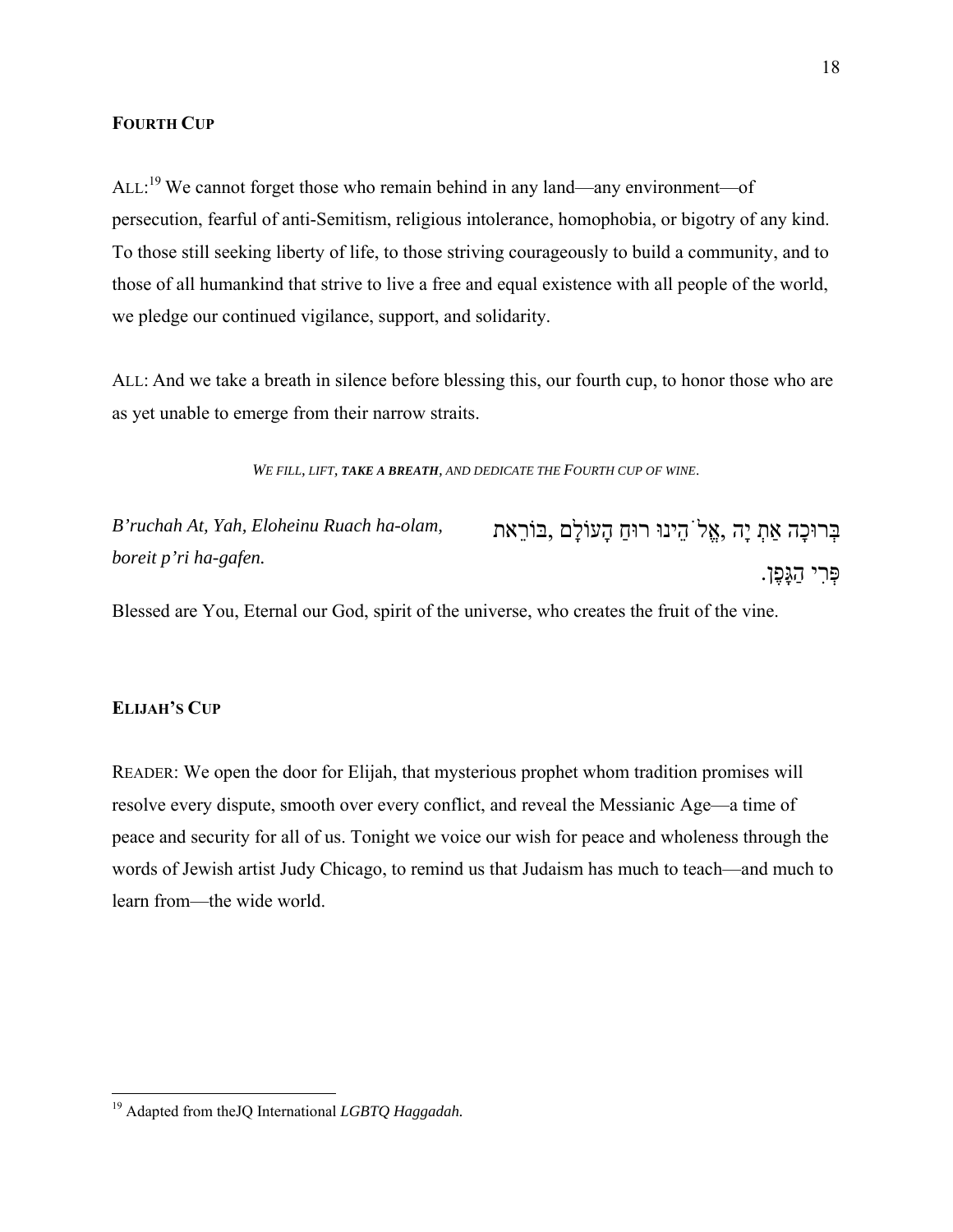#### **FOURTH CUP**

ALL:<sup>19</sup> We cannot forget those who remain behind in any land—any environment—of persecution, fearful of anti-Semitism, religious intolerance, homophobia, or bigotry of any kind. To those still seeking liberty of life, to those striving courageously to build a community, and to those of all humankind that strive to live a free and equal existence with all people of the world, we pledge our continued vigilance, support, and solidarity.

ALL: And we take a breath in silence before blessing this, our fourth cup, to honor those who are as yet unable to emerge from their narrow straits.

*WE FILL, LIFT, TAKE A BREATH, AND DEDICATE THE FOURTH CUP OF WINE*.

*B'ruchah At, Yah, Eloheinu Ruach ha-olam, boreit p'ri ha-gafen.* בְּרוּכָה ְאַת יָה ,אֱלֹהֵינוּ ַ רוּח הָעוֹלָם ,בּוֹרֵאת פְּרִי הַגָּפֶן.

Blessed are You, Eternal our God, spirit of the universe, who creates the fruit of the vine.

#### **ELIJAH'S CUP**

READER: We open the door for Elijah, that mysterious prophet whom tradition promises will resolve every dispute, smooth over every conflict, and reveal the Messianic Age—a time of peace and security for all of us. Tonight we voice our wish for peace and wholeness through the words of Jewish artist Judy Chicago, to remind us that Judaism has much to teach—and much to learn from—the wide world.

<sup>19</sup> Adapted from theJQ International *LGBTQ Haggadah.*